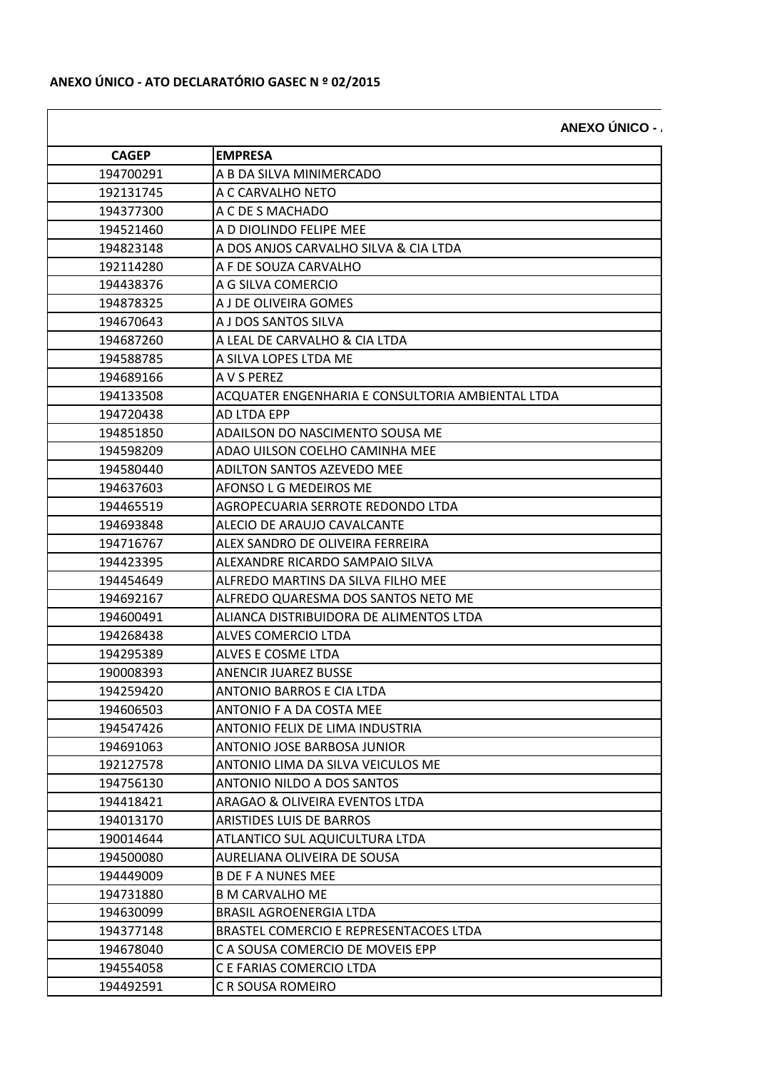**ANEXO ÚNICO - AT** 

| <b>CAGEP</b> | <b>EMPRESA</b>                                   |
|--------------|--------------------------------------------------|
| 194700291    | A B DA SILVA MINIMERCADO                         |
| 192131745    | A C CARVALHO NETO                                |
| 194377300    | A C DE S MACHADO                                 |
| 194521460    | A D DIOLINDO FELIPE MEE                          |
| 194823148    | A DOS ANJOS CARVALHO SILVA & CIA LTDA            |
| 192114280    | A F DE SOUZA CARVALHO                            |
| 194438376    | A G SILVA COMERCIO                               |
| 194878325    | A J DE OLIVEIRA GOMES                            |
| 194670643    | A J DOS SANTOS SILVA                             |
| 194687260    | A LEAL DE CARVALHO & CIA LTDA                    |
| 194588785    | A SILVA LOPES LTDA ME                            |
| 194689166    | A V S PEREZ                                      |
| 194133508    | ACQUATER ENGENHARIA E CONSULTORIA AMBIENTAL LTDA |
| 194720438    | AD LTDA EPP                                      |
| 194851850    | ADAILSON DO NASCIMENTO SOUSA ME                  |
| 194598209    | ADAO UILSON COELHO CAMINHA MEE                   |
| 194580440    | ADILTON SANTOS AZEVEDO MEE                       |
| 194637603    | AFONSO L G MEDEIROS ME                           |
| 194465519    | AGROPECUARIA SERROTE REDONDO LTDA                |
| 194693848    | ALECIO DE ARAUJO CAVALCANTE                      |
| 194716767    | ALEX SANDRO DE OLIVEIRA FERREIRA                 |
| 194423395    | ALEXANDRE RICARDO SAMPAIO SILVA                  |
| 194454649    | ALFREDO MARTINS DA SILVA FILHO MEE               |
| 194692167    | ALFREDO QUARESMA DOS SANTOS NETO ME              |
| 194600491    | ALIANCA DISTRIBUIDORA DE ALIMENTOS LTDA          |
| 194268438    | ALVES COMERCIO LTDA                              |
| 194295389    | ALVES E COSME LTDA                               |
| 190008393    | <b>ANENCIR JUAREZ BUSSE</b>                      |
| 194259420    | <b>ANTONIO BARROS E CIA LTDA</b>                 |
| 194606503    | ANTONIO F A DA COSTA MEE                         |
| 194547426    | ANTONIO FELIX DE LIMA INDUSTRIA                  |
| 194691063    | ANTONIO JOSE BARBOSA JUNIOR                      |
| 192127578    | ANTONIO LIMA DA SILVA VEICULOS ME                |
| 194756130    | ANTONIO NILDO A DOS SANTOS                       |
| 194418421    | ARAGAO & OLIVEIRA EVENTOS LTDA                   |
| 194013170    | <b>ARISTIDES LUIS DE BARROS</b>                  |
| 190014644    | ATLANTICO SUL AQUICULTURA LTDA                   |
| 194500080    | AURELIANA OLIVEIRA DE SOUSA                      |
| 194449009    | <b>B DE F A NUNES MEE</b>                        |
| 194731880    | <b>B M CARVALHO ME</b>                           |
| 194630099    | <b>BRASIL AGROENERGIA LTDA</b>                   |
| 194377148    | BRASTEL COMERCIO E REPRESENTACOES LTDA           |
| 194678040    | C A SOUSA COMERCIO DE MOVEIS EPP                 |
| 194554058    | C E FARIAS COMERCIO LTDA                         |
| 194492591    | C R SOUSA ROMEIRO                                |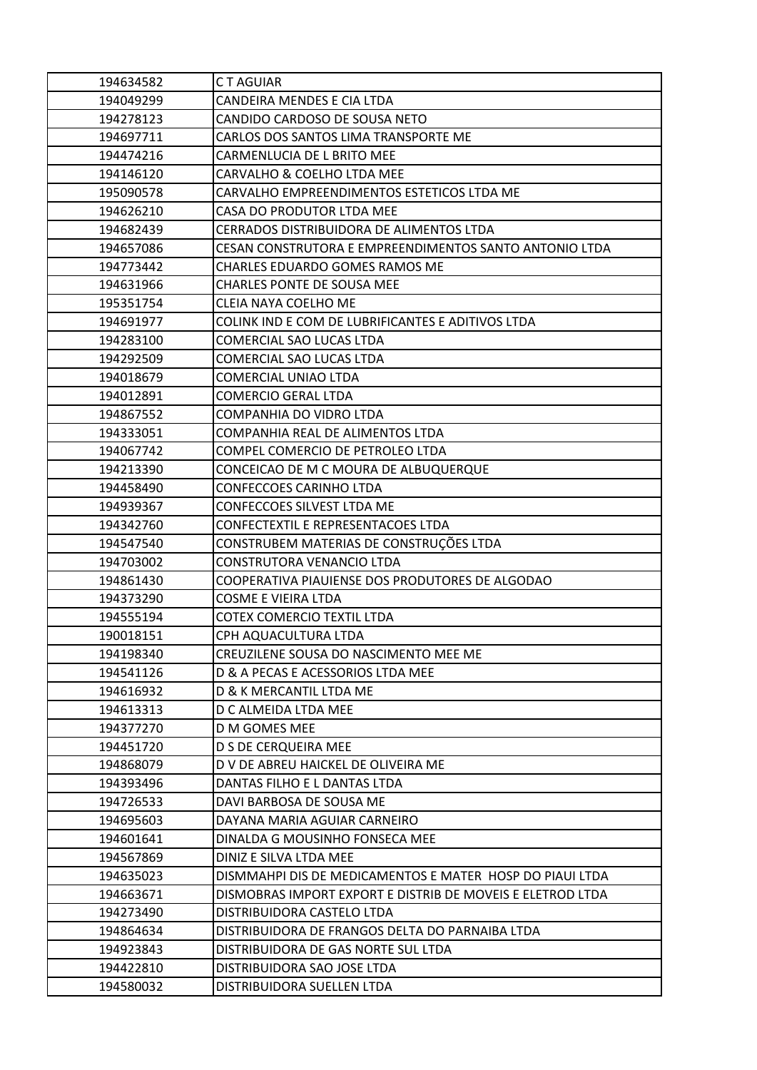| 194634582 | <b>CT AGUIAR</b>                                           |
|-----------|------------------------------------------------------------|
| 194049299 | CANDEIRA MENDES E CIA LTDA                                 |
| 194278123 | CANDIDO CARDOSO DE SOUSA NETO                              |
| 194697711 | CARLOS DOS SANTOS LIMA TRANSPORTE ME                       |
| 194474216 | CARMENLUCIA DE L BRITO MEE                                 |
| 194146120 | CARVALHO & COELHO LTDA MEE                                 |
| 195090578 | CARVALHO EMPREENDIMENTOS ESTETICOS LTDA ME                 |
| 194626210 | CASA DO PRODUTOR LTDA MEE                                  |
| 194682439 | CERRADOS DISTRIBUIDORA DE ALIMENTOS LTDA                   |
| 194657086 | CESAN CONSTRUTORA E EMPREENDIMENTOS SANTO ANTONIO LTDA     |
| 194773442 | CHARLES EDUARDO GOMES RAMOS ME                             |
| 194631966 | <b>CHARLES PONTE DE SOUSA MEE</b>                          |
| 195351754 | CLEIA NAYA COELHO ME                                       |
| 194691977 | COLINK IND E COM DE LUBRIFICANTES E ADITIVOS LTDA          |
| 194283100 | COMERCIAL SAO LUCAS LTDA                                   |
| 194292509 | COMERCIAL SAO LUCAS LTDA                                   |
| 194018679 | COMERCIAL UNIAO LTDA                                       |
| 194012891 | <b>COMERCIO GERAL LTDA</b>                                 |
| 194867552 | COMPANHIA DO VIDRO LTDA                                    |
| 194333051 | COMPANHIA REAL DE ALIMENTOS LTDA                           |
| 194067742 | COMPEL COMERCIO DE PETROLEO LTDA                           |
| 194213390 | CONCEICAO DE M C MOURA DE ALBUQUERQUE                      |
| 194458490 | <b>CONFECCOES CARINHO LTDA</b>                             |
| 194939367 | <b>CONFECCOES SILVEST LTDA ME</b>                          |
| 194342760 | CONFECTEXTIL E REPRESENTACOES LTDA                         |
| 194547540 | CONSTRUBEM MATERIAS DE CONSTRUÇÕES LTDA                    |
| 194703002 | CONSTRUTORA VENANCIO LTDA                                  |
| 194861430 | COOPERATIVA PIAUIENSE DOS PRODUTORES DE ALGODAO            |
| 194373290 | <b>COSME E VIEIRA LTDA</b>                                 |
| 194555194 | <b>COTEX COMERCIO TEXTIL LTDA</b>                          |
| 190018151 | CPH AQUACULTURA LTDA                                       |
| 194198340 | CREUZILENE SOUSA DO NASCIMENTO MEE ME                      |
| 194541126 | D & A PECAS E ACESSORIOS LTDA MEE                          |
| 194616932 | D & K MERCANTIL LTDA ME                                    |
| 194613313 | D C ALMEIDA LTDA MEE                                       |
| 194377270 | D M GOMES MEE                                              |
| 194451720 | <b>D S DE CERQUEIRA MEE</b>                                |
| 194868079 | D V DE ABREU HAICKEL DE OLIVEIRA ME                        |
| 194393496 | DANTAS FILHO E L DANTAS LTDA                               |
| 194726533 | DAVI BARBOSA DE SOUSA ME                                   |
| 194695603 | DAYANA MARIA AGUIAR CARNEIRO                               |
| 194601641 | DINALDA G MOUSINHO FONSECA MEE                             |
| 194567869 | DINIZ E SILVA LTDA MEE                                     |
| 194635023 | DISMMAHPI DIS DE MEDICAMENTOS E MATER HOSP DO PIAUI LTDA   |
| 194663671 | DISMOBRAS IMPORT EXPORT E DISTRIB DE MOVEIS E ELETROD LTDA |
| 194273490 | DISTRIBUIDORA CASTELO LTDA                                 |
| 194864634 | DISTRIBUIDORA DE FRANGOS DELTA DO PARNAIBA LTDA            |
| 194923843 | DISTRIBUIDORA DE GAS NORTE SUL LTDA                        |
| 194422810 | DISTRIBUIDORA SAO JOSE LTDA                                |
| 194580032 | DISTRIBUIDORA SUELLEN LTDA                                 |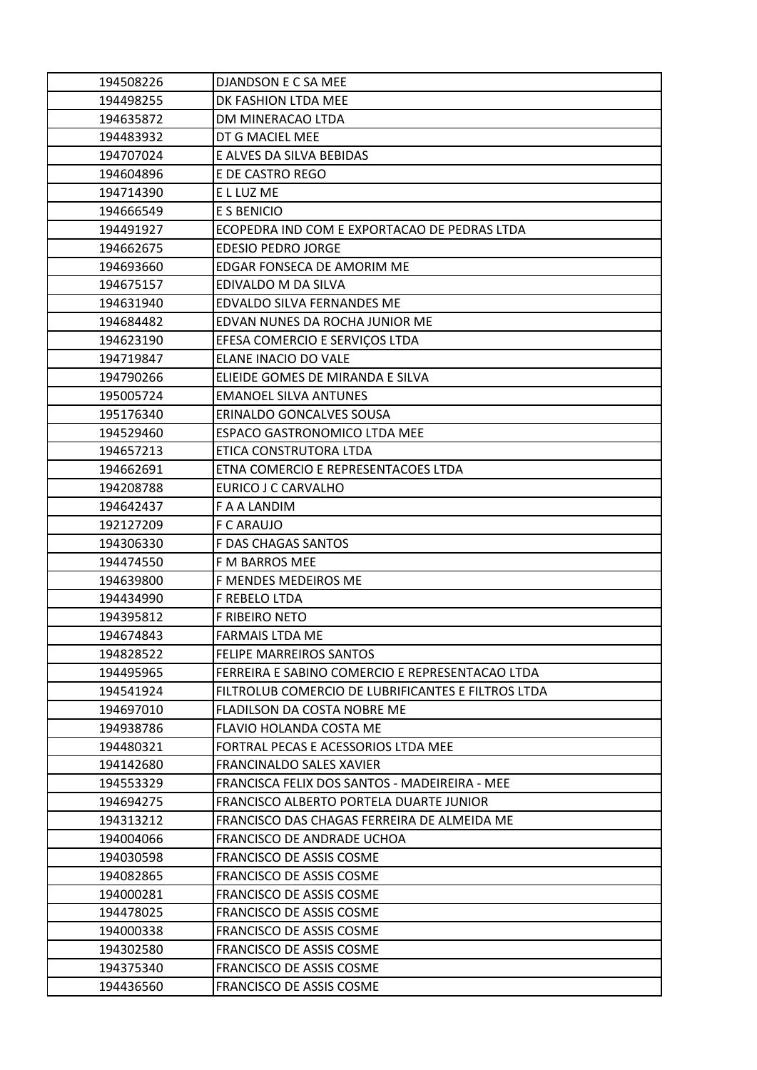| 194508226              | DJANDSON E C SA MEE                                  |
|------------------------|------------------------------------------------------|
| 194498255              | DK FASHION LTDA MEE                                  |
| 194635872              | DM MINERACAO LTDA                                    |
| 194483932              | DT G MACIEL MEE                                      |
| 194707024              | E ALVES DA SILVA BEBIDAS                             |
| 194604896              | E DE CASTRO REGO                                     |
| 194714390              | E L LUZ ME                                           |
| 194666549              | E S BENICIO                                          |
| 194491927              | ECOPEDRA IND COM E EXPORTACAO DE PEDRAS LTDA         |
| 194662675              | <b>EDESIO PEDRO JORGE</b>                            |
| 194693660              | EDGAR FONSECA DE AMORIM ME                           |
| 194675157              | EDIVALDO M DA SILVA                                  |
| 194631940              | EDVALDO SILVA FERNANDES ME                           |
| 194684482              | EDVAN NUNES DA ROCHA JUNIOR ME                       |
| 194623190              | EFESA COMERCIO E SERVIÇOS LTDA                       |
| 194719847              | ELANE INACIO DO VALE                                 |
| 194790266              | ELIEIDE GOMES DE MIRANDA E SILVA                     |
| 195005724              | <b>EMANOEL SILVA ANTUNES</b>                         |
| 195176340              | ERINALDO GONCALVES SOUSA                             |
| 194529460              | <b>ESPACO GASTRONOMICO LTDA MEE</b>                  |
| 194657213              | ETICA CONSTRUTORA LTDA                               |
| 194662691              | ETNA COMERCIO E REPRESENTACOES LTDA                  |
| 194208788              | EURICO J C CARVALHO                                  |
| 194642437              | F A A LANDIM                                         |
| 192127209              | F C ARAUJO                                           |
| 194306330              | F DAS CHAGAS SANTOS                                  |
| 194474550              | F M BARROS MEE                                       |
| 194639800              | F MENDES MEDEIROS ME                                 |
| 194434990              | F REBELO LTDA                                        |
| 194395812              | <b>F RIBEIRO NETO</b>                                |
| 194674843              | <b>FARMAIS LTDA ME</b>                               |
| 194828522              | FELIPE MARREIROS SANTOS                              |
| 194495965              | FERREIRA E SABINO COMERCIO E REPRESENTACAO LTDA      |
| 194541924              | FILTROLUB COMERCIO DE LUBRIFICANTES E FILTROS LTDA   |
| 194697010              | FLADILSON DA COSTA NOBRE ME                          |
| 194938786              | FLAVIO HOLANDA COSTA ME                              |
| 194480321              | FORTRAL PECAS E ACESSORIOS LTDA MEE                  |
| 194142680              | <b>FRANCINALDO SALES XAVIER</b>                      |
| 194553329              | FRANCISCA FELIX DOS SANTOS - MADEIREIRA - MEE        |
| 194694275              | FRANCISCO ALBERTO PORTELA DUARTE JUNIOR              |
| 194313212              | FRANCISCO DAS CHAGAS FERREIRA DE ALMEIDA ME          |
| 194004066              | FRANCISCO DE ANDRADE UCHOA                           |
| 194030598              | FRANCISCO DE ASSIS COSME                             |
| 194082865              | <b>FRANCISCO DE ASSIS COSME</b>                      |
| 194000281              | <b>FRANCISCO DE ASSIS COSME</b>                      |
| 194478025              | FRANCISCO DE ASSIS COSME                             |
| 194000338              | FRANCISCO DE ASSIS COSME                             |
|                        |                                                      |
| 194302580              | FRANCISCO DE ASSIS COSME                             |
| 194375340<br>194436560 | FRANCISCO DE ASSIS COSME<br>FRANCISCO DE ASSIS COSME |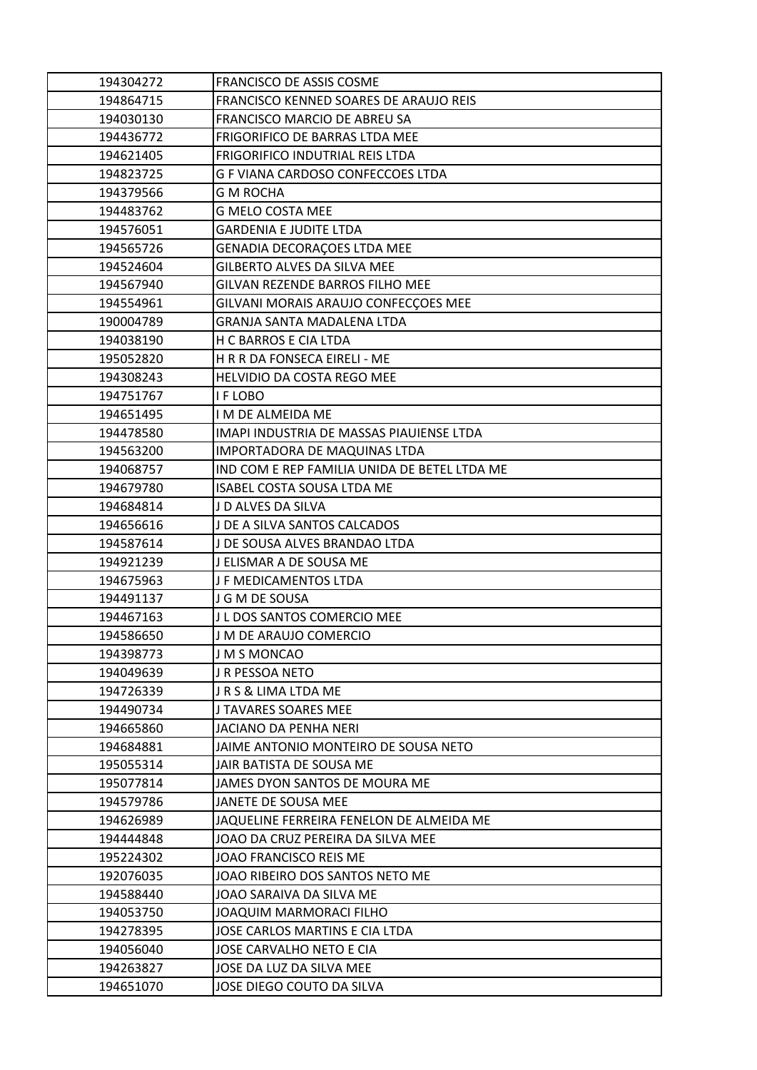|                        | FRANCISCO DE ASSIS COSME                              |
|------------------------|-------------------------------------------------------|
| 194864715              | FRANCISCO KENNED SOARES DE ARAUJO REIS                |
| 194030130              | FRANCISCO MARCIO DE ABREU SA                          |
| 194436772              | FRIGORIFICO DE BARRAS LTDA MEE                        |
| 194621405              | FRIGORIFICO INDUTRIAL REIS LTDA                       |
| 194823725              | G F VIANA CARDOSO CONFECCOES LTDA                     |
| 194379566              | <b>G M ROCHA</b>                                      |
| 194483762              | <b>G MELO COSTA MEE</b>                               |
| 194576051              | <b>GARDENIA E JUDITE LTDA</b>                         |
| 194565726              | GENADIA DECORAÇOES LTDA MEE                           |
| 194524604              | <b>GILBERTO ALVES DA SILVA MEE</b>                    |
| 194567940              | <b>GILVAN REZENDE BARROS FILHO MEE</b>                |
| 194554961              | GILVANI MORAIS ARAUJO CONFECÇOES MEE                  |
| 190004789              | GRANJA SANTA MADALENA LTDA                            |
| 194038190              | H C BARROS E CIA LTDA                                 |
| 195052820              | H R R DA FONSECA EIRELI - ME                          |
| 194308243              | HELVIDIO DA COSTA REGO MEE                            |
| 194751767              | I F LOBO                                              |
| 194651495              | I M DE ALMEIDA ME                                     |
| 194478580              | IMAPI INDUSTRIA DE MASSAS PIAUIENSE LTDA              |
| 194563200              | IMPORTADORA DE MAQUINAS LTDA                          |
| 194068757              | IND COM E REP FAMILIA UNIDA DE BETEL LTDA ME          |
| 194679780              | ISABEL COSTA SOUSA LTDA ME                            |
| 194684814              | J D ALVES DA SILVA                                    |
| 194656616              | J DE A SILVA SANTOS CALCADOS                          |
| 194587614              | J DE SOUSA ALVES BRANDAO LTDA                         |
| 194921239              | J ELISMAR A DE SOUSA ME                               |
| 194675963              | J F MEDICAMENTOS LTDA                                 |
| 194491137              | J G M DE SOUSA                                        |
| 194467163              | J L DOS SANTOS COMERCIO MEE                           |
| 194586650              |                                                       |
|                        | J M DE ARAUJO COMERCIO                                |
| 194398773              | J M S MONCAO                                          |
| 194049639              | J R PESSOA NETO                                       |
| 194726339              | JRS & LIMA LTDA ME                                    |
| 194490734              | J TAVARES SOARES MEE                                  |
| 194665860              | JACIANO DA PENHA NERI                                 |
| 194684881              | JAIME ANTONIO MONTEIRO DE SOUSA NETO                  |
| 195055314              | JAIR BATISTA DE SOUSA ME                              |
| 195077814              | JAMES DYON SANTOS DE MOURA ME                         |
| 194579786              | JANETE DE SOUSA MEE                                   |
| 194626989              | JAQUELINE FERREIRA FENELON DE ALMEIDA ME              |
| 194444848              | JOAO DA CRUZ PEREIRA DA SILVA MEE                     |
| 195224302              | JOAO FRANCISCO REIS ME                                |
| 192076035              | JOAO RIBEIRO DOS SANTOS NETO ME                       |
| 194588440              | JOAO SARAIVA DA SILVA ME                              |
| 194053750              | <b>JOAQUIM MARMORACI FILHO</b>                        |
| 194278395              | JOSE CARLOS MARTINS E CIA LTDA                        |
| 194056040              | JOSE CARVALHO NETO E CIA                              |
| 194263827<br>194651070 | JOSE DA LUZ DA SILVA MEE<br>JOSE DIEGO COUTO DA SILVA |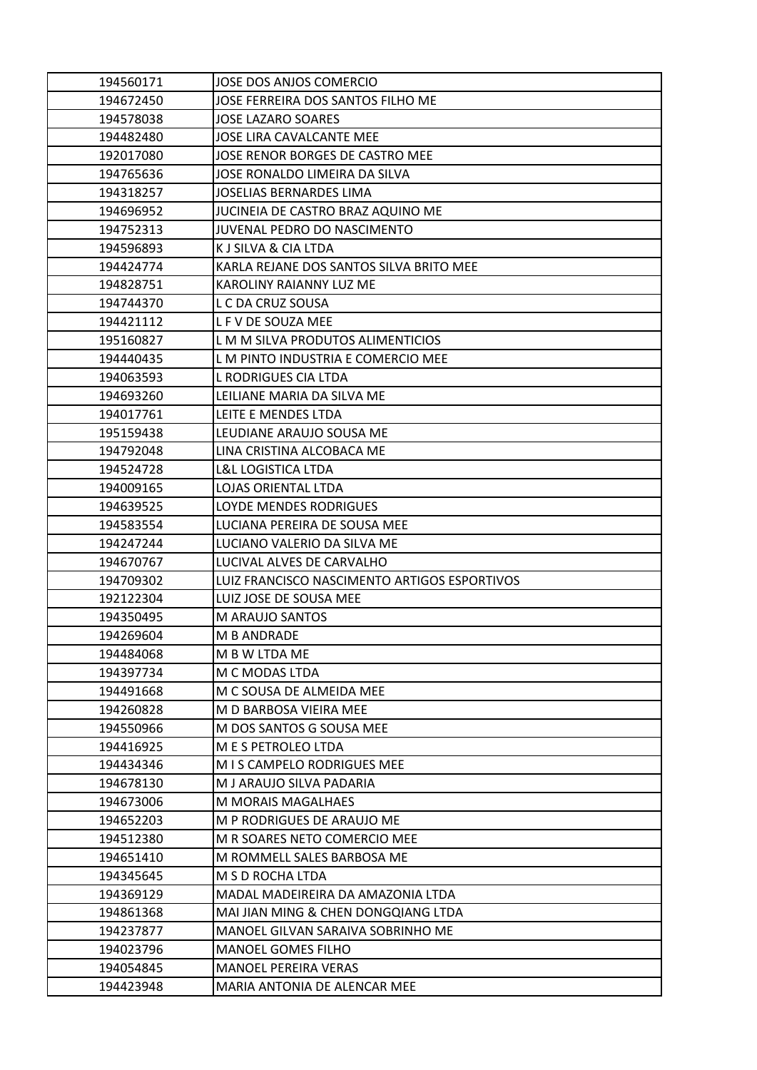| 194560171 | JOSE DOS ANJOS COMERCIO                                     |
|-----------|-------------------------------------------------------------|
| 194672450 | JOSE FERREIRA DOS SANTOS FILHO ME                           |
| 194578038 | <b>JOSE LAZARO SOARES</b>                                   |
| 194482480 | <b>JOSE LIRA CAVALCANTE MEE</b>                             |
| 192017080 | JOSE RENOR BORGES DE CASTRO MEE                             |
| 194765636 | JOSE RONALDO LIMEIRA DA SILVA                               |
| 194318257 | <b>JOSELIAS BERNARDES LIMA</b>                              |
| 194696952 | JUCINEIA DE CASTRO BRAZ AQUINO ME                           |
| 194752313 | JUVENAL PEDRO DO NASCIMENTO                                 |
| 194596893 | K J SILVA & CIA LTDA                                        |
| 194424774 | KARLA REJANE DOS SANTOS SILVA BRITO MEE                     |
| 194828751 | KAROLINY RAIANNY LUZ ME                                     |
| 194744370 | L C DA CRUZ SOUSA                                           |
| 194421112 | L F V DE SOUZA MEE                                          |
| 195160827 | L M M SILVA PRODUTOS ALIMENTICIOS                           |
| 194440435 | L M PINTO INDUSTRIA E COMERCIO MEE                          |
| 194063593 | <b>L RODRIGUES CIA LTDA</b>                                 |
| 194693260 | LEILIANE MARIA DA SILVA ME                                  |
| 194017761 | LEITE E MENDES LTDA                                         |
| 195159438 | LEUDIANE ARAUJO SOUSA ME                                    |
| 194792048 | LINA CRISTINA ALCOBACA ME                                   |
| 194524728 | <b>L&amp;L LOGISTICA LTDA</b>                               |
| 194009165 | LOJAS ORIENTAL LTDA                                         |
| 194639525 | LOYDE MENDES RODRIGUES                                      |
| 194583554 | LUCIANA PEREIRA DE SOUSA MEE                                |
|           |                                                             |
| 194247244 | LUCIANO VALERIO DA SILVA ME                                 |
| 194670767 | LUCIVAL ALVES DE CARVALHO                                   |
| 194709302 | LUIZ FRANCISCO NASCIMENTO ARTIGOS ESPORTIVOS                |
| 192122304 | LUIZ JOSE DE SOUSA MEE                                      |
| 194350495 | M ARAUJO SANTOS                                             |
| 194269604 | <b>M B ANDRADE</b>                                          |
| 194484068 | M B W LTDA ME                                               |
| 194397734 | M C MODAS LTDA                                              |
| 194491668 | M C SOUSA DE ALMEIDA MEE                                    |
| 194260828 | M D BARBOSA VIEIRA MEE                                      |
| 194550966 | M DOS SANTOS G SOUSA MEE                                    |
| 194416925 | M E S PETROLEO LTDA                                         |
| 194434346 | M I S CAMPELO RODRIGUES MEE                                 |
| 194678130 | M J ARAUJO SILVA PADARIA                                    |
| 194673006 | M MORAIS MAGALHAES                                          |
| 194652203 | M P RODRIGUES DE ARAUJO ME                                  |
| 194512380 | M R SOARES NETO COMERCIO MEE                                |
| 194651410 | M ROMMELL SALES BARBOSA ME                                  |
| 194345645 | M S D ROCHA LTDA                                            |
| 194369129 | MADAL MADEIREIRA DA AMAZONIA LTDA                           |
| 194861368 | MAI JIAN MING & CHEN DONGQIANG LTDA                         |
| 194237877 | MANOEL GILVAN SARAIVA SOBRINHO ME                           |
| 194023796 | <b>MANOEL GOMES FILHO</b>                                   |
| 194054845 | <b>MANOEL PEREIRA VERAS</b><br>MARIA ANTONIA DE ALENCAR MEE |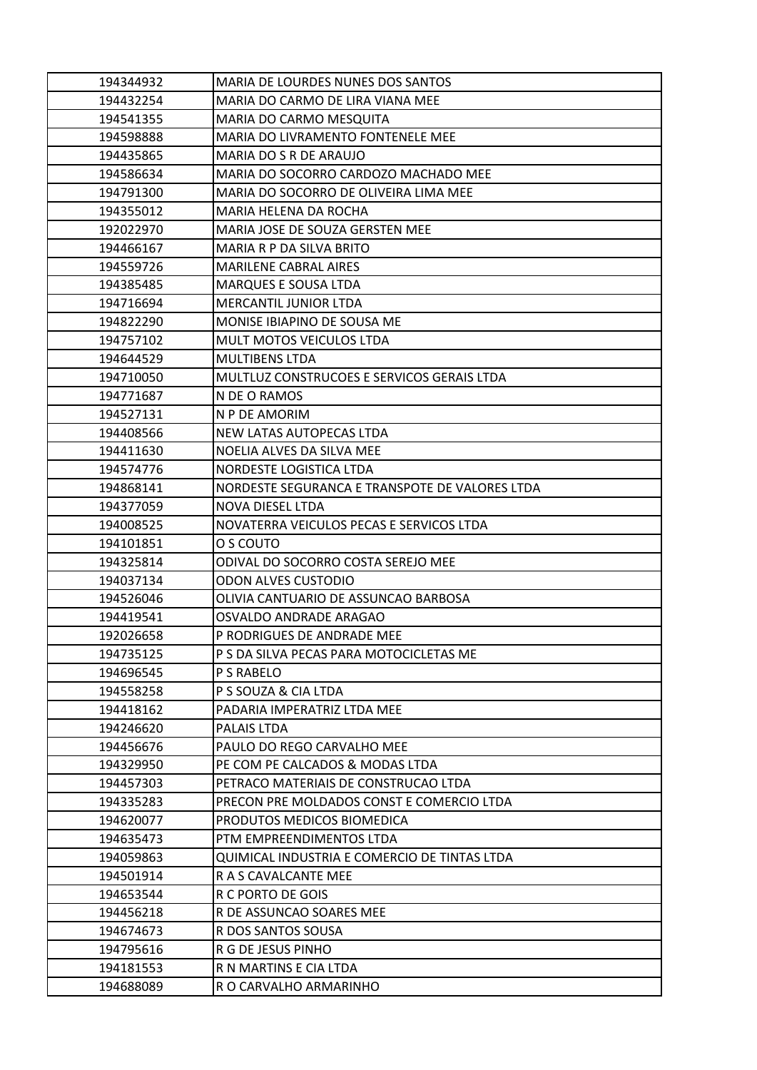| 194344932              | <b>MARIA DE LOURDES NUNES DOS SANTOS</b>         |
|------------------------|--------------------------------------------------|
| 194432254              | MARIA DO CARMO DE LIRA VIANA MEE                 |
| 194541355              | MARIA DO CARMO MESQUITA                          |
| 194598888              | MARIA DO LIVRAMENTO FONTENELE MEE                |
| 194435865              | MARIA DO S R DE ARAUJO                           |
| 194586634              | MARIA DO SOCORRO CARDOZO MACHADO MEE             |
| 194791300              | MARIA DO SOCORRO DE OLIVEIRA LIMA MEE            |
| 194355012              | MARIA HELENA DA ROCHA                            |
| 192022970              | MARIA JOSE DE SOUZA GERSTEN MEE                  |
| 194466167              | MARIA R P DA SILVA BRITO                         |
| 194559726              | <b>MARILENE CABRAL AIRES</b>                     |
| 194385485              | <b>MARQUES E SOUSA LTDA</b>                      |
| 194716694              | <b>MERCANTIL JUNIOR LTDA</b>                     |
| 194822290              | MONISE IBIAPINO DE SOUSA ME                      |
| 194757102              | <b>MULT MOTOS VEICULOS LTDA</b>                  |
| 194644529              | <b>MULTIBENS LTDA</b>                            |
| 194710050              | MULTLUZ CONSTRUCOES E SERVICOS GERAIS LTDA       |
| 194771687              | N DE O RAMOS                                     |
| 194527131              | N P DE AMORIM                                    |
| 194408566              | NEW LATAS AUTOPECAS LTDA                         |
| 194411630              | NOELIA ALVES DA SILVA MEE                        |
| 194574776              | NORDESTE LOGISTICA LTDA                          |
| 194868141              | NORDESTE SEGURANCA E TRANSPOTE DE VALORES LTDA   |
| 194377059              | NOVA DIESEL LTDA                                 |
| 194008525              | NOVATERRA VEICULOS PECAS E SERVICOS LTDA         |
| 194101851              | O S COUTO                                        |
|                        |                                                  |
| 194325814              | ODIVAL DO SOCORRO COSTA SEREJO MEE               |
| 194037134              | <b>ODON ALVES CUSTODIO</b>                       |
| 194526046              | OLIVIA CANTUARIO DE ASSUNCAO BARBOSA             |
| 194419541              | OSVALDO ANDRADE ARAGAO                           |
| 192026658              | P RODRIGUES DE ANDRADE MEE                       |
| 194735125              | P S DA SILVA PECAS PARA MOTOCICLETAS ME          |
| 194696545              | P S RABELO                                       |
| 194558258              | P S SOUZA & CIA LTDA                             |
| 194418162              | PADARIA IMPERATRIZ LTDA MEE                      |
| 194246620              | PALAIS LTDA                                      |
| 194456676              | PAULO DO REGO CARVALHO MEE                       |
| 194329950              | PE COM PE CALCADOS & MODAS LTDA                  |
| 194457303              | PETRACO MATERIAIS DE CONSTRUCAO LTDA             |
| 194335283              | PRECON PRE MOLDADOS CONST E COMERCIO LTDA        |
| 194620077              | PRODUTOS MEDICOS BIOMEDICA                       |
| 194635473              | PTM EMPREENDIMENTOS LTDA                         |
| 194059863              | QUIMICAL INDUSTRIA E COMERCIO DE TINTAS LTDA     |
| 194501914              | R A S CAVALCANTE MEE                             |
| 194653544              | R C PORTO DE GOIS                                |
| 194456218              | R DE ASSUNCAO SOARES MEE                         |
| 194674673              | R DOS SANTOS SOUSA                               |
| 194795616              | R G DE JESUS PINHO                               |
| 194181553<br>194688089 | R N MARTINS E CIA LTDA<br>R O CARVALHO ARMARINHO |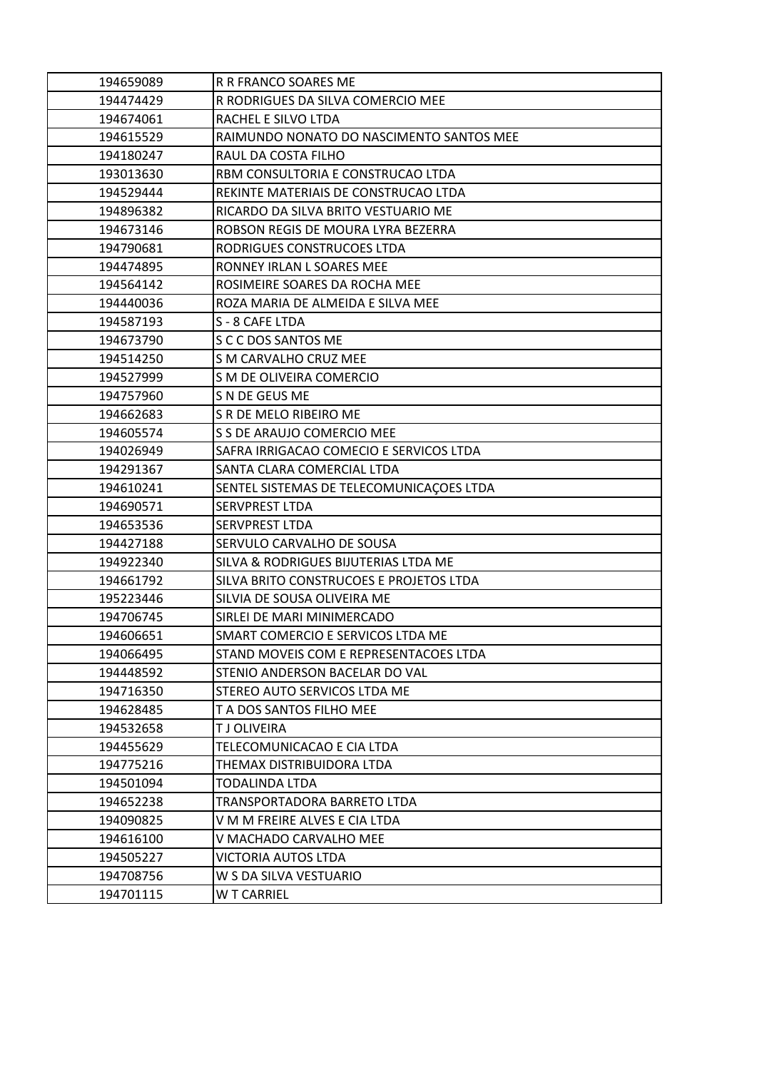| 194659089 | R R FRANCO SOARES ME                     |
|-----------|------------------------------------------|
| 194474429 | R RODRIGUES DA SILVA COMERCIO MEE        |
| 194674061 | RACHEL E SILVO LTDA                      |
| 194615529 | RAIMUNDO NONATO DO NASCIMENTO SANTOS MEE |
| 194180247 | RAUL DA COSTA FILHO                      |
| 193013630 | RBM CONSULTORIA E CONSTRUCAO LTDA        |
| 194529444 | REKINTE MATERIAIS DE CONSTRUCAO LTDA     |
| 194896382 | RICARDO DA SILVA BRITO VESTUARIO ME      |
| 194673146 | ROBSON REGIS DE MOURA LYRA BEZERRA       |
| 194790681 | RODRIGUES CONSTRUCOES LTDA               |
| 194474895 | RONNEY IRLAN L SOARES MEE                |
| 194564142 | ROSIMEIRE SOARES DA ROCHA MEE            |
| 194440036 | ROZA MARIA DE ALMEIDA E SILVA MEE        |
| 194587193 | S - 8 CAFE LTDA                          |
| 194673790 | S C C DOS SANTOS ME                      |
| 194514250 | S M CARVALHO CRUZ MEE                    |
| 194527999 | S M DE OLIVEIRA COMERCIO                 |
| 194757960 | S N DE GEUS ME                           |
| 194662683 | S R DE MELO RIBEIRO ME                   |
| 194605574 | S S DE ARAUJO COMERCIO MEE               |
| 194026949 | SAFRA IRRIGACAO COMECIO E SERVICOS LTDA  |
| 194291367 | SANTA CLARA COMERCIAL LTDA               |
| 194610241 | SENTEL SISTEMAS DE TELECOMUNICAÇOES LTDA |
| 194690571 | SERVPREST LTDA                           |
| 194653536 | <b>SERVPREST LTDA</b>                    |
| 194427188 | SERVULO CARVALHO DE SOUSA                |
| 194922340 | SILVA & RODRIGUES BIJUTERIAS LTDA ME     |
| 194661792 | SILVA BRITO CONSTRUCOES E PROJETOS LTDA  |
| 195223446 | SILVIA DE SOUSA OLIVEIRA ME              |
| 194706745 | SIRLEI DE MARI MINIMERCADO               |
| 194606651 | SMART COMERCIO E SERVICOS LTDA ME        |
| 194066495 | STAND MOVEIS COM E REPRESENTACOES LTDA   |
| 194448592 | STENIO ANDERSON BACELAR DO VAL           |
| 194716350 | <b>STEREO AUTO SERVICOS LTDA ME</b>      |
| 194628485 | T A DOS SANTOS FILHO MEE                 |
| 194532658 | T J OLIVEIRA                             |
| 194455629 | TELECOMUNICACAO E CIA LTDA               |
| 194775216 | THEMAX DISTRIBUIDORA LTDA                |
| 194501094 | <b>TODALINDA LTDA</b>                    |
| 194652238 | TRANSPORTADORA BARRETO LTDA              |
| 194090825 | V M M FREIRE ALVES E CIA LTDA            |
| 194616100 | V MACHADO CARVALHO MEE                   |
| 194505227 | <b>VICTORIA AUTOS LTDA</b>               |
| 194708756 | W S DA SILVA VESTUARIO                   |
| 194701115 | <b>WT CARRIEL</b>                        |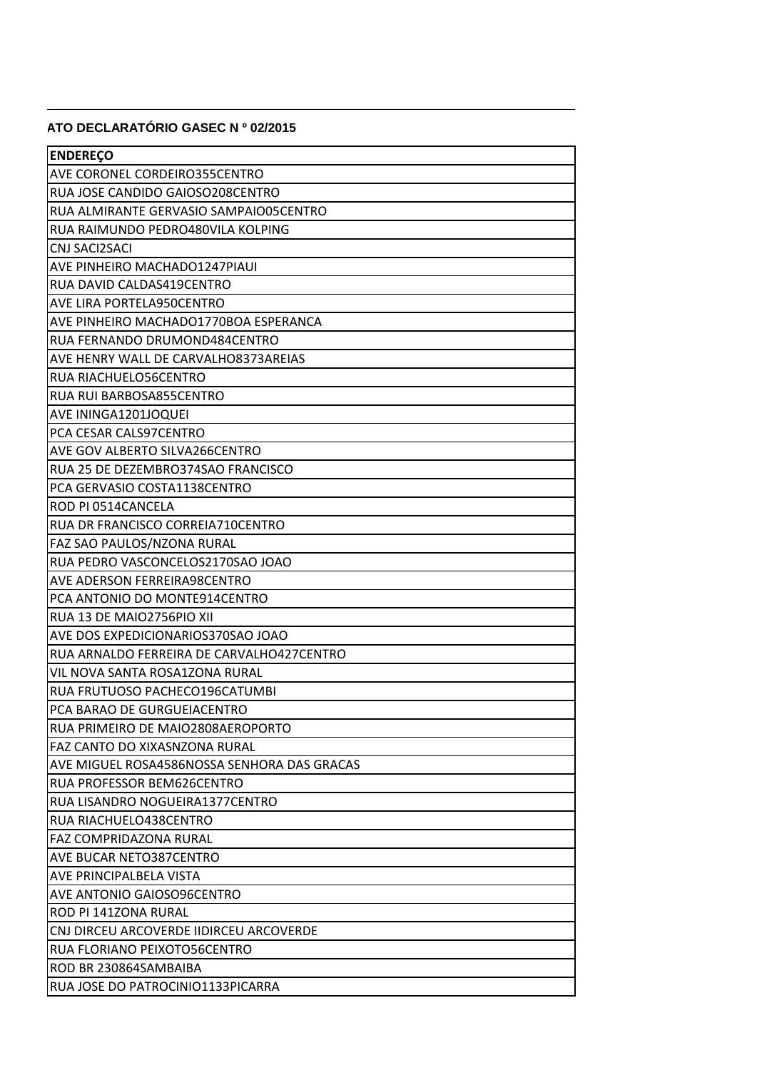## **ATO DECLARATÓRIO GASEC Nº 02/2015**

| <b>ENDEREÇO</b>                             |
|---------------------------------------------|
| <b>AVE CORONEL CORDEIRO355CENTRO</b>        |
| RUA JOSE CANDIDO GAIOSO208CENTRO            |
| RUA ALMIRANTE GERVASIO SAMPAIO05CENTRO      |
| RUA RAIMUNDO PEDRO480VILA KOLPING           |
| <b>CNJ SACI2SACI</b>                        |
| <b>AVE PINHEIRO MACHADO1247PIAUI</b>        |
| RUA DAVID CALDAS419CENTRO                   |
| <b>AVE LIRA PORTELA950CENTRO</b>            |
| AVE PINHEIRO MACHADO1770BOA ESPERANCA       |
| RUA FERNANDO DRUMOND484CENTRO               |
| AVE HENRY WALL DE CARVALHO8373AREIAS        |
| <b>RUA RIACHUELO56CENTRO</b>                |
| RUA RUI BARBOSA855CENTRO                    |
| AVE ININGA1201JOQUEI                        |
| PCA CESAR CALS97CENTRO                      |
| <b>AVE GOV ALBERTO SILVA266CENTRO</b>       |
| RUA 25 DE DEZEMBRO374SAO FRANCISCO          |
| PCA GERVASIO COSTA1138CENTRO                |
| <b>ROD PI 0514CANCELA</b>                   |
| RUA DR FRANCISCO CORREIA710CENTRO           |
| FAZ SAO PAULOS/NZONA RURAL                  |
| RUA PEDRO VASCONCELOS2170SAO JOAO           |
| AVE ADERSON FERREIRA98CENTRO                |
| PCA ANTONIO DO MONTE914CENTRO               |
| RUA 13 DE MAIO2756PIO XII                   |
| AVE DOS EXPEDICIONARIOS370SAO JOAO          |
| RUA ARNALDO FERREIRA DE CARVALHO427CENTRO   |
| VIL NOVA SANTA ROSA1ZONA RURAL              |
| RUA FRUTUOSO PACHECO196CATUMBI              |
| PCA BARAO DE GURGUEIACENTRO                 |
| RUA PRIMEIRO DE MAIO2808AEROPORTO           |
| lFAZ CANTO DO XIXASNZONA RURAL              |
| AVE MIGUEL ROSA4586NOSSA SENHORA DAS GRACAS |
| RUA PROFESSOR BEM626CENTRO                  |
| RUA LISANDRO NOGUEIRA1377CENTRO             |
| RUA RIACHUELO438CENTRO                      |
| lFAZ COMPRIDAZONA RURAL                     |
| <b>AVE BUCAR NETO387CENTRO</b>              |
| IAVE PRINCIPALBELA VISTA                    |
| <b>AVE ANTONIO GAIOSO96CENTRO</b>           |
| IROD PI 141ZONA RURAL                       |
| ICNJ DIRCEU ARCOVERDE IIDIRCEU ARCOVERDE    |
| IRUA FLORIANO PEIXOTO56CENTRO               |
| IROD BR 230864SAMBAIBA                      |
| RUA JOSE DO PATROCINIO1133PICARRA           |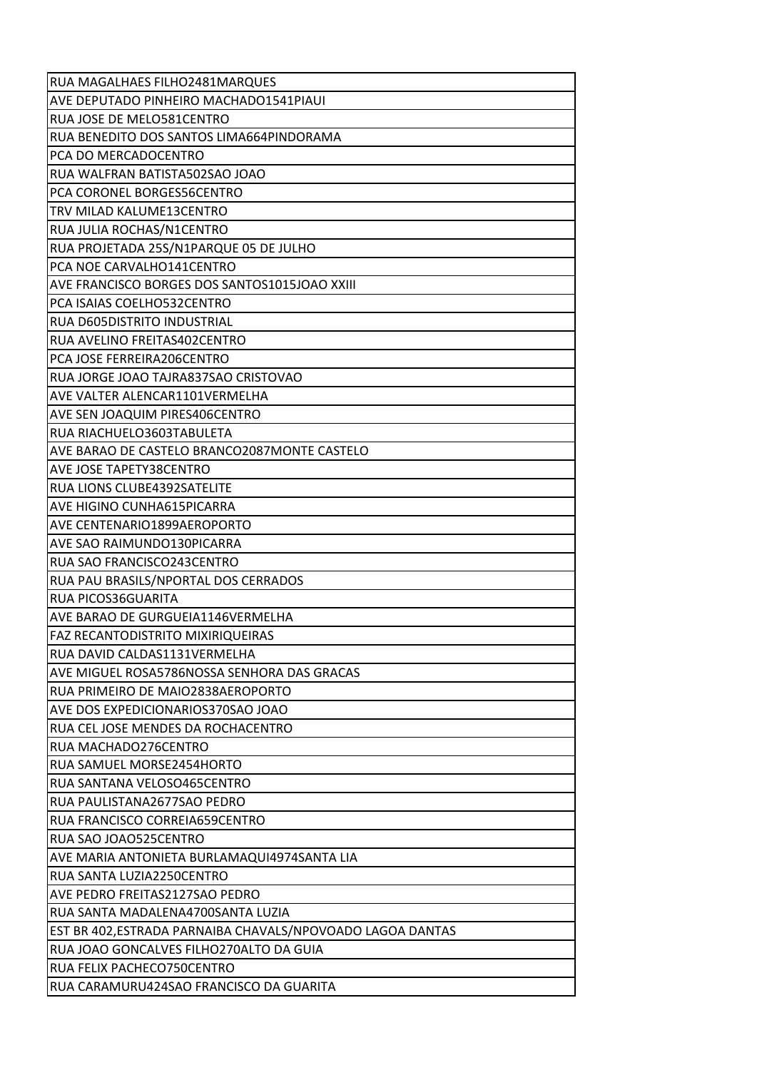| AVE DEPUTADO PINHEIRO MACHADO1541PIAUI                     |
|------------------------------------------------------------|
| RUA JOSE DE MELO581CENTRO                                  |
| RUA BENEDITO DOS SANTOS LIMA664PINDORAMA                   |
| PCA DO MERCADOCENTRO                                       |
| RUA WALFRAN BATISTA502SAO JOAO                             |
| PCA CORONEL BORGES56CENTRO                                 |
| TRV MILAD KALUME13CENTRO                                   |
| RUA JULIA ROCHAS/N1CENTRO                                  |
| RUA PROJETADA 25S/N1PARQUE 05 DE JULHO                     |
| PCA NOE CARVALHO141CENTRO                                  |
| AVE FRANCISCO BORGES DOS SANTOS1015JOAO XXIII              |
| PCA ISAIAS COELHO532CENTRO                                 |
| <b>RUA D605DISTRITO INDUSTRIAL</b>                         |
| RUA AVELINO FREITAS402CENTRO                               |
| PCA JOSE FERREIRA206CENTRO                                 |
| RUA JORGE JOAO TAJRA837SAO CRISTOVAO                       |
| AVE VALTER ALENCAR1101VERMELHA                             |
| AVE SEN JOAQUIM PIRES406CENTRO                             |
| RUA RIACHUELO3603TABULETA                                  |
| AVE BARAO DE CASTELO BRANCO2087MONTE CASTELO               |
| AVE JOSE TAPETY38CENTRO                                    |
| RUA LIONS CLUBE4392SATELITE                                |
| <b>AVE HIGINO CUNHA615PICARRA</b>                          |
| AVE CENTENARIO1899AEROPORTO                                |
| AVE SAO RAIMUNDO130PICARRA                                 |
| RUA SAO FRANCISCO243CENTRO                                 |
|                                                            |
| RUA PAU BRASILS/NPORTAL DOS CERRADOS                       |
| RUA PICOS36GUARITA                                         |
| AVE BARAO DE GURGUEIA1146VERMELHA                          |
| <b>FAZ RECANTODISTRITO MIXIRIQUEIRAS</b>                   |
| RUA DAVID CALDAS1131VERMELHA                               |
| AVE MIGUEL ROSA5786NOSSA SENHORA DAS GRACAS                |
| RUA PRIMEIRO DE MAIO2838AEROPORTO                          |
| AVE DOS EXPEDICIONARIOS370SAO JOAO                         |
| RUA CEL JOSE MENDES DA ROCHACENTRO                         |
| RUA MACHADO276CENTRO                                       |
| RUA SAMUEL MORSE2454HORTO                                  |
| RUA SANTANA VELOSO465CENTRO                                |
| RUA PAULISTANA2677SAO PEDRO                                |
| RUA FRANCISCO CORREIA659CENTRO                             |
| RUA SAO JOAO525CENTRO                                      |
| AVE MARIA ANTONIETA BURLAMAQUI4974SANTA LIA                |
| RUA SANTA LUZIA2250CENTRO                                  |
| AVE PEDRO FREITAS2127SAO PEDRO                             |
| RUA SANTA MADALENA4700SANTA LUZIA                          |
| EST BR 402, ESTRADA PARNAIBA CHAVALS/NPOVOADO LAGOA DANTAS |
| RUA JOAO GONCALVES FILHO270ALTO DA GUIA                    |
| RUA FELIX PACHECO750CENTRO                                 |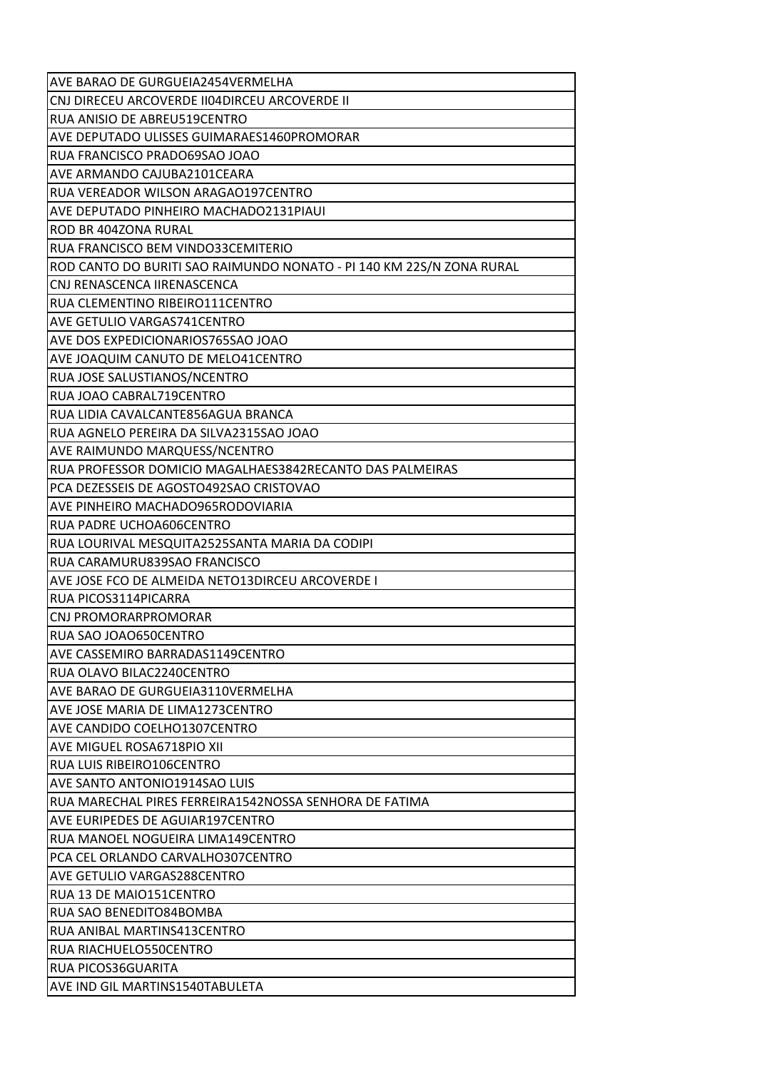| AVE BARAO DE GURGUEIA2454VERMELHA                                    |
|----------------------------------------------------------------------|
| CNJ DIRECEU ARCOVERDE II04DIRCEU ARCOVERDE II                        |
| RUA ANISIO DE ABREU519CENTRO                                         |
| <b>AVE DEPUTADO ULISSES GUIMARAES1460PROMORAR</b>                    |
| RUA FRANCISCO PRADO69SAO JOAO                                        |
| AVE ARMANDO CAJUBA2101CEARA                                          |
| RUA VEREADOR WILSON ARAGAO197CENTRO                                  |
| AVE DEPUTADO PINHEIRO MACHADO2131PIAUI                               |
| ROD BR 404ZONA RURAL                                                 |
| RUA FRANCISCO BEM VINDO33CEMITERIO                                   |
| ROD CANTO DO BURITI SAO RAIMUNDO NONATO - PI 140 KM 22S/N ZONA RURAL |
| CNJ RENASCENCA IIRENASCENCA                                          |
| IRUA CLEMENTINO RIBEIRO111CENTRO                                     |
| <b>AVE GETULIO VARGAS741CENTRO</b>                                   |
| AVE DOS EXPEDICIONARIOS765SAO JOAO                                   |
| AVE JOAQUIM CANUTO DE MELO41CENTRO                                   |
| <b>RUA JOSE SALUSTIANOS/NCENTRO</b>                                  |
| RUA JOAO CABRAL719CENTRO                                             |
| RUA LIDIA CAVALCANTE856AGUA BRANCA                                   |
| IRUA AGNELO PEREIRA DA SILVA2315SAO JOAO                             |
| <b>AVE RAIMUNDO MARQUESS/NCENTRO</b>                                 |
| RUA PROFESSOR DOMICIO MAGALHAES3842RECANTO DAS PALMEIRAS             |
| PCA DEZESSEIS DE AGOSTO492SAO CRISTOVAO                              |
| IAVE PINHEIRO MACHADO965RODOVIARIA                                   |
| <b>RUA PADRE UCHOA606CENTRO</b>                                      |
| RUA LOURIVAL MESQUITA2525SANTA MARIA DA CODIPI                       |
| IRUA CARAMURU839SAO FRANCISCO                                        |
| AVE JOSE FCO DE ALMEIDA NETO13DIRCEU ARCOVERDE I                     |
| <b>RUA PICOS3114PICARRA</b>                                          |
| <b>CNJ PROMORARPROMORAR</b>                                          |
| RUA SAO JOAO650CENTRO                                                |
| AVE CASSEMIRO BARRADAS1149CENTRO                                     |
| RUA OLAVO BILAC2240CENTRO                                            |
| IAVE BARAO DE GURGUEIA3110VERMELHA                                   |
| AVE JOSE MARIA DE LIMA1273CENTRO                                     |
| AVE CANDIDO COELHO1307CENTRO                                         |
| IAVE MIGUEL ROSA6718PIO XII                                          |
| IRUA LUIS RIBEIRO106CENTRO                                           |
| IAVE SANTO ANTONIO1914SAO LUIS                                       |
| RUA MARECHAL PIRES FERREIRA1542NOSSA SENHORA DE FATIMA               |
| AVE EURIPEDES DE AGUIAR197CENTRO                                     |
| RUA MANOEL NOGUEIRA LIMA149CENTRO                                    |
| IPCA CEL ORLANDO CARVALHO307CENTRO                                   |
| <b>AVE GETULIO VARGAS288CENTRO</b>                                   |
| IRUA 13 DE MAIO151CENTRO                                             |
| IRUA SAO BENEDITO84BOMBA                                             |
| RUA ANIBAL MARTINS413CENTRO                                          |
| IRUA RIACHUELO550CENTRO                                              |
| <b>RUA PICOS36GUARITA</b>                                            |
| AVE IND GIL MARTINS1540TABULETA                                      |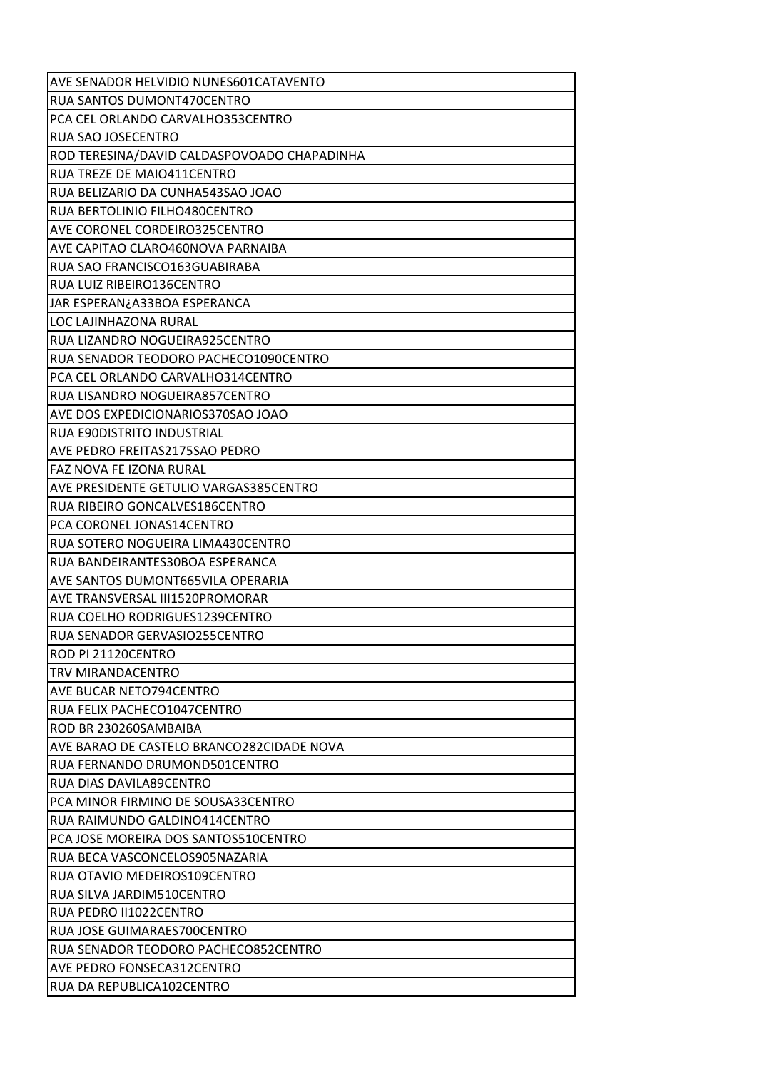| AVE SENADOR HELVIDIO NUNES601CATAVENTO      |
|---------------------------------------------|
| RUA SANTOS DUMONT470CENTRO                  |
| PCA CEL ORLANDO CARVALHO353CENTRO           |
| RUA SAO JOSECENTRO                          |
| ROD TERESINA/DAVID CALDASPOVOADO CHAPADINHA |
| RUA TREZE DE MAIO411CENTRO                  |
| RUA BELIZARIO DA CUNHA543SAO JOAO           |
| RUA BERTOLINIO FILHO480CENTRO               |
| AVE CORONEL CORDEIRO325CENTRO               |
| AVE CAPITAO CLARO460NOVA PARNAIBA           |
| RUA SAO FRANCISCO163GUABIRABA               |
| RUA LUIZ RIBEIRO136CENTRO                   |
| JAR ESPERAN¿A33BOA ESPERANCA                |
| LOC LAJINHAZONA RURAL                       |
| RUA LIZANDRO NOGUEIRA925CENTRO              |
| RUA SENADOR TEODORO PACHECO1090CENTRO       |
| PCA CEL ORLANDO CARVALHO314CENTRO           |
| RUA LISANDRO NOGUEIRA857CENTRO              |
| AVE DOS EXPEDICIONARIOS370SAO JOAO          |
| <b>RUA E90DISTRITO INDUSTRIAL</b>           |
| AVE PEDRO FREITAS2175SAO PEDRO              |
| FAZ NOVA FE IZONA RURAL                     |
| AVE PRESIDENTE GETULIO VARGAS385CENTRO      |
| RUA RIBEIRO GONCALVES186CENTRO              |
| PCA CORONEL JONAS14CENTRO                   |
| RUA SOTERO NOGUEIRA LIMA430CENTRO           |
| RUA BANDEIRANTES30BOA ESPERANCA             |
| AVE SANTOS DUMONT665VILA OPERARIA           |
| AVE TRANSVERSAL III1520PROMORAR             |
| RUA COELHO RODRIGUES1239CENTRO              |
| RUA SENADOR GERVASIO255CENTRO               |
| ROD PI 21120CENTRO                          |
| TRV MIRANDACENTRO                           |
| AVE BUCAR NETO794CENTRO                     |
| RUA FELIX PACHECO1047CENTRO                 |
| ROD BR 230260SAMBAIBA                       |
| AVE BARAO DE CASTELO BRANCO282CIDADE NOVA   |
| RUA FERNANDO DRUMOND501CENTRO               |
| RUA DIAS DAVILA89CENTRO                     |
| PCA MINOR FIRMINO DE SOUSA33CENTRO          |
| RUA RAIMUNDO GALDINO414CENTRO               |
| PCA JOSE MOREIRA DOS SANTOS510CENTRO        |
| RUA BECA VASCONCELOS905NAZARIA              |
| RUA OTAVIO MEDEIROS109CENTRO                |
| RUA SILVA JARDIM510CENTRO                   |
| RUA PEDRO II1022CENTRO                      |
| RUA JOSE GUIMARAES700CENTRO                 |
| RUA SENADOR TEODORO PACHECO852CENTRO        |
| AVE PEDRO FONSECA312CENTRO                  |
|                                             |
| RUA DA REPUBLICA102CENTRO                   |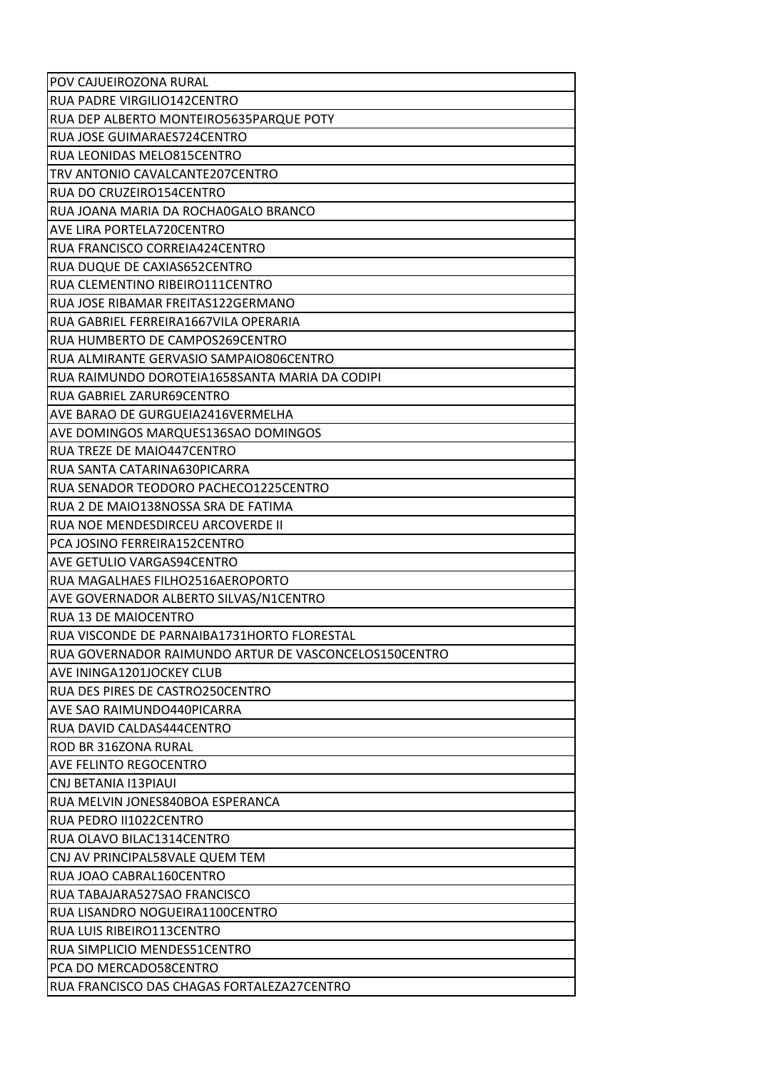| POV CAJUEIROZONA RURAL                                |
|-------------------------------------------------------|
| <b>RUA PADRE VIRGILIO142CENTRO</b>                    |
| RUA DEP ALBERTO MONTEIRO5635PARQUE POTY               |
| RUA JOSE GUIMARAES724CENTRO                           |
| RUA LEONIDAS MELO815CENTRO                            |
| ITRV ANTONIO CAVALCANTE207CENTRO                      |
| RUA DO CRUZEIRO154CENTRO                              |
| RUA JOANA MARIA DA ROCHAOGALO BRANCO                  |
| <b>AVE LIRA PORTELA720CENTRO</b>                      |
| RUA FRANCISCO CORREIA424CENTRO                        |
| RUA DUQUE DE CAXIAS652CENTRO                          |
| RUA CLEMENTINO RIBEIRO111CENTRO                       |
| RUA JOSE RIBAMAR FREITAS122GERMANO                    |
| RUA GABRIEL FERREIRA1667VILA OPERARIA                 |
| RUA HUMBERTO DE CAMPOS269CENTRO                       |
| RUA ALMIRANTE GERVASIO SAMPAIO806CENTRO               |
| RUA RAIMUNDO DOROTEIA1658SANTA MARIA DA CODIPI        |
| RUA GABRIEL ZARUR69CENTRO                             |
| AVE BARAO DE GURGUEIA2416VERMELHA                     |
| AVE DOMINGOS MARQUES136SAO DOMINGOS                   |
| <b>RUA TREZE DE MAIO447CENTRO</b>                     |
| RUA SANTA CATARINA630PICARRA                          |
| RUA SENADOR TEODORO PACHECO1225CENTRO                 |
| RUA 2 DE MAIO138NOSSA SRA DE FATIMA                   |
| RUA NOE MENDESDIRCEU ARCOVERDE II                     |
| PCA JOSINO FERREIRA152CENTRO                          |
| AVE GETULIO VARGAS94CENTRO                            |
| RUA MAGALHAES FILHO2516AEROPORTO                      |
| AVE GOVERNADOR ALBERTO SILVAS/N1CENTRO                |
| <b>RUA 13 DE MAIOCENTRO</b>                           |
| RUA VISCONDE DE PARNAIBA1731HORTO FLORESTAL           |
| RUA GOVERNADOR RAIMUNDO ARTUR DE VASCONCELOS150CENTRO |
| <b>AVE ININGA1201JOCKEY CLUB</b>                      |
| <b>RUA DES PIRES DE CASTRO250CENTRO</b>               |
| AVE SAO RAIMUNDO440PICARRA                            |
| RUA DAVID CALDAS444CENTRO                             |
| IROD BR 316ZONA RURAL                                 |
| <b>AVE FELINTO REGOCENTRO</b>                         |
| CNJ BETANIA I13PIAUI                                  |
| RUA MELVIN JONES840BOA ESPERANCA                      |
|                                                       |
| RUA PEDRO II1022CENTRO                                |
| IRUA OLAVO BILAC1314CENTRO                            |
| CNJ AV PRINCIPAL58VALE QUEM TEM                       |
| RUA JOAO CABRAL160CENTRO                              |
| RUA TABAJARA527SAO FRANCISCO                          |
| RUA LISANDRO NOGUEIRA1100CENTRO                       |
| RUA LUIS RIBEIRO113CENTRO                             |
| RUA SIMPLICIO MENDES51CENTRO                          |
| PCA DO MERCADO58CENTRO                                |
| RUA FRANCISCO DAS CHAGAS FORTALEZA27CENTRO            |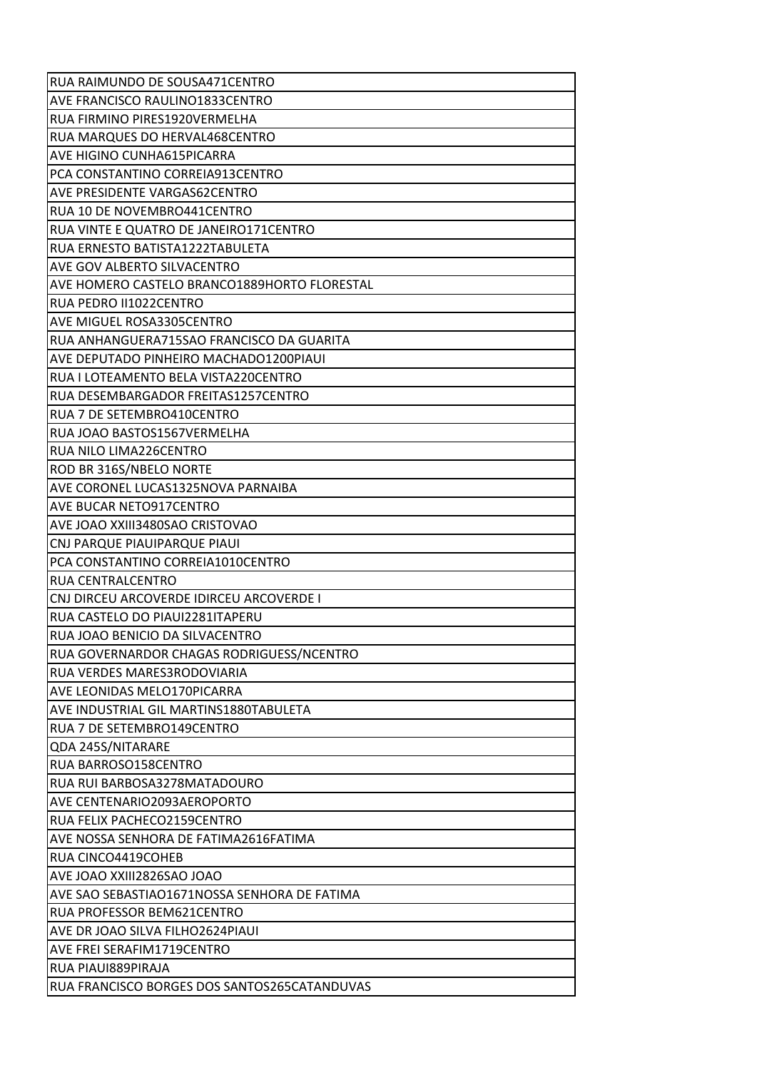| RUA RAIMUNDO DE SOUSA471CENTRO               |
|----------------------------------------------|
| <b>AVE FRANCISCO RAULINO1833CENTRO</b>       |
| RUA FIRMINO PIRES1920VERMELHA                |
| RUA MARQUES DO HERVAL468CENTRO               |
| <b>AVE HIGINO CUNHA615PICARRA</b>            |
| PCA CONSTANTINO CORREIA913CENTRO             |
| <b>AVE PRESIDENTE VARGAS62CENTRO</b>         |
| RUA 10 DE NOVEMBRO441CENTRO                  |
| RUA VINTE E QUATRO DE JANEIRO171CENTRO       |
| RUA ERNESTO BATISTA1222TABULETA              |
| <b>AVE GOV ALBERTO SILVACENTRO</b>           |
| AVE HOMERO CASTELO BRANCO1889HORTO FLORESTAL |
| RUA PEDRO II1022CENTRO                       |
| <b>AVE MIGUEL ROSA3305CENTRO</b>             |
| IRUA ANHANGUERA715SAO FRANCISCO DA GUARITA   |
| AVE DEPUTADO PINHEIRO MACHADO1200PIAUI       |
| RUA I LOTEAMENTO BELA VISTA220CENTRO         |
| RUA DESEMBARGADOR FREITAS1257CENTRO          |
| <b>RUA 7 DE SETEMBRO410CENTRO</b>            |
| RUA JOAO BASTOS1567VERMELHA                  |
| RUA NILO LIMA226CENTRO                       |
| ROD BR 316S/NBELO NORTE                      |
| AVE CORONEL LUCAS1325NOVA PARNAIBA           |
| <b>AVE BUCAR NETO917CENTRO</b>               |
| AVE JOAO XXIII3480SAO CRISTOVAO              |
| CNJ PARQUE PIAUIPARQUE PIAUI                 |
| PCA CONSTANTINO CORREIA1010CENTRO            |
| <b>RUA CENTRALCENTRO</b>                     |
| CNJ DIRCEU ARCOVERDE IDIRCEU ARCOVERDE I     |
| RUA CASTELO DO PIAUI2281ITAPERU              |
| RUA JOAO BENICIO DA SILVACENTRO              |
| RUA GOVERNARDOR CHAGAS RODRIGUESS/NCENTRO    |
| RUA VERDES MARES3RODOVIARIA                  |
| AVE LEONIDAS MELO170PICARRA                  |
| AVE INDUSTRIAL GIL MARTINS1880TABULETA       |
| RUA 7 DE SETEMBRO149CENTRO                   |
| QDA 245S/NITARARE                            |
| RUA BARROSO158CENTRO                         |
| RUA RUI BARBOSA3278MATADOURO                 |
| <b>AVE CENTENARIO2093AEROPORTO</b>           |
| RUA FELIX PACHECO2159CENTRO                  |
|                                              |
| AVE NOSSA SENHORA DE FATIMA2616FATIMA        |
| RUA CINCO4419COHEB                           |
| AVE JOAO XXIII2826SAO JOAO                   |
| AVE SAO SEBASTIAO1671NOSSA SENHORA DE FATIMA |
| RUA PROFESSOR BEM621CENTRO                   |
| AVE DR JOAO SILVA FILHO2624PIAUI             |
| <b>AVE FREI SERAFIM1719CENTRO</b>            |
| RUA PIAUI889PIRAJA                           |
| RUA FRANCISCO BORGES DOS SANTOS265CATANDUVAS |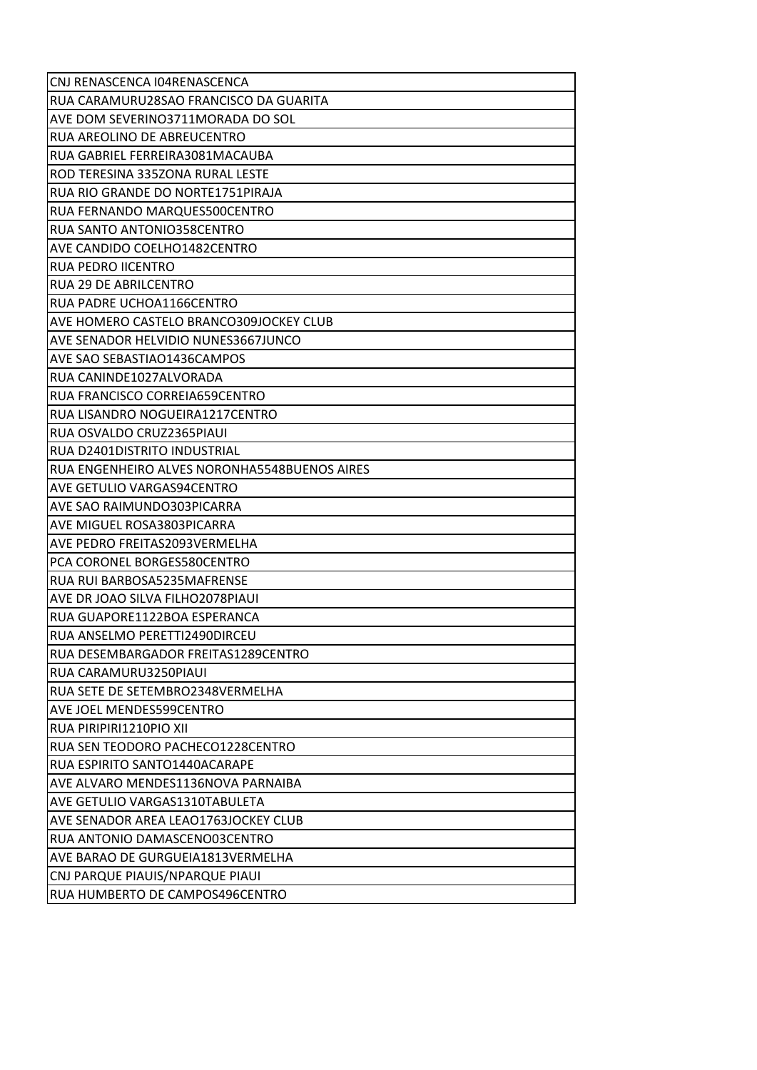| CNJ RENASCENCA I04RENASCENCA                 |
|----------------------------------------------|
| RUA CARAMURU28SAO FRANCISCO DA GUARITA       |
| AVE DOM SEVERINO3711MORADA DO SOL            |
| RUA AREOLINO DE ABREUCENTRO                  |
| RUA GABRIEL FERREIRA3081MACAUBA              |
| ROD TERESINA 335ZONA RURAL LESTE             |
| RUA RIO GRANDE DO NORTE1751PIRAJA            |
| RUA FERNANDO MARQUES500CENTRO                |
| <b>RUA SANTO ANTONIO358CENTRO</b>            |
| AVE CANDIDO COELHO1482CENTRO                 |
| RUA PEDRO IICENTRO                           |
| <b>RUA 29 DE ABRILCENTRO</b>                 |
| RUA PADRE UCHOA1166CENTRO                    |
| AVE HOMERO CASTELO BRANCO309JOCKEY CLUB      |
| IAVE SENADOR HELVIDIO NUNES3667JUNCO         |
| AVE SAO SEBASTIAO1436CAMPOS                  |
| RUA CANINDE1027ALVORADA                      |
| RUA FRANCISCO CORREIA659CENTRO               |
| RUA LISANDRO NOGUEIRA1217CENTRO              |
| RUA OSVALDO CRUZ2365PIAUI                    |
| RUA D2401DISTRITO INDUSTRIAL                 |
| RUA ENGENHEIRO ALVES NORONHA5548BUENOS AIRES |
| <b>AVE GETULIO VARGAS94CENTRO</b>            |
| AVE SAO RAIMUNDO303PICARRA                   |
| <b>AVE MIGUEL ROSA3803PICARRA</b>            |
| AVE PEDRO FREITAS2093VERMELHA                |
| PCA CORONEL BORGES580CENTRO                  |
| RUA RUI BARBOSA5235MAFRENSE                  |
| AVE DR JOAO SILVA FILHO2078PIAUI             |
| RUA GUAPORE1122BOA ESPERANCA                 |
| RUA ANSELMO PERETTI2490DIRCEU                |
| RUA DESEMBARGADOR FREITAS1289CENTRO          |
| RUA CARAMURU3250PIAUI                        |
| RUA SETE DE SETEMBRO2348VERMELHA             |
| AVE JOEL MENDES599CENTRO                     |
| RUA PIRIPIRI1210PIO XII                      |
| RUA SEN TEODORO PACHECO1228CENTRO            |
| RUA ESPIRITO SANTO1440ACARAPE                |
| AVE ALVARO MENDES1136NOVA PARNAIBA           |
| AVE GETULIO VARGAS1310TABULETA               |
| AVE SENADOR AREA LEAO1763JOCKEY CLUB         |
| RUA ANTONIO DAMASCENO03CENTRO                |
| AVE BARAO DE GURGUEIA1813VERMELHA            |
| CNJ PARQUE PIAUIS/NPARQUE PIAUI              |
| RUA HUMBERTO DE CAMPOS496CENTRO              |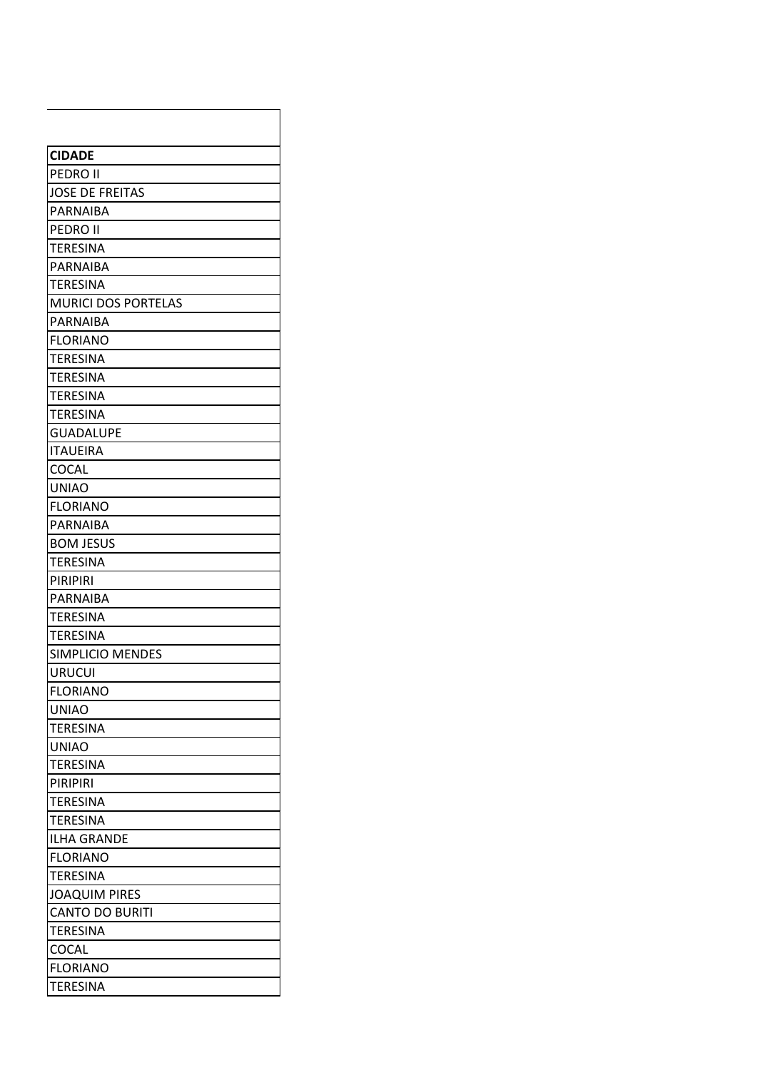| <b>CIDADE</b>                         |
|---------------------------------------|
| IPEDRO II                             |
| <b>JOSE DE FREITAS</b>                |
| IPARNAIBA                             |
| <b>PEDRO II</b>                       |
| <b>TERESINA</b>                       |
| IPARNAIBA                             |
| <b>TERESINA</b>                       |
| <b>MURICI DOS PORTELAS</b>            |
| PARNAIBA                              |
| IFLORIANO                             |
| <b>TERESINA</b>                       |
| <b>TERESINA</b>                       |
| <b>TERESINA</b>                       |
| <b>TERESINA</b>                       |
| <b>GUADALUPE</b>                      |
| <b>ITAUEIRA</b>                       |
| COCAL                                 |
| <b>UNIAO</b>                          |
| <b>FLORIANO</b>                       |
| IPARNAIBA                             |
| <b>BOM JESUS</b>                      |
| <b>TERESINA</b>                       |
| PIRIPIRI                              |
| PARNAIBA                              |
| <b>TERESINA</b>                       |
| <b>TERESINA</b>                       |
| <b>SIMPLICIO MENDES</b>               |
| <b>URUCUI</b>                         |
| <b>FLORIANO</b>                       |
| <b>UNIAO</b>                          |
| <b>TERESINA</b>                       |
| <b>UNIAO</b>                          |
| <b>TERESINA</b><br><b>PIRIPIRI</b>    |
| <b>TERESINA</b>                       |
|                                       |
| <b>TERESINA</b><br><b>ILHA GRANDE</b> |
| <b>FLORIANO</b>                       |
| <b>TERESINA</b>                       |
| <b>JOAQUIM PIRES</b>                  |
| <b>CANTO DO BURITI</b>                |
| <b>TERESINA</b>                       |
| COCAL                                 |
| <b>FLORIANO</b>                       |
| <b>TERESINA</b>                       |
|                                       |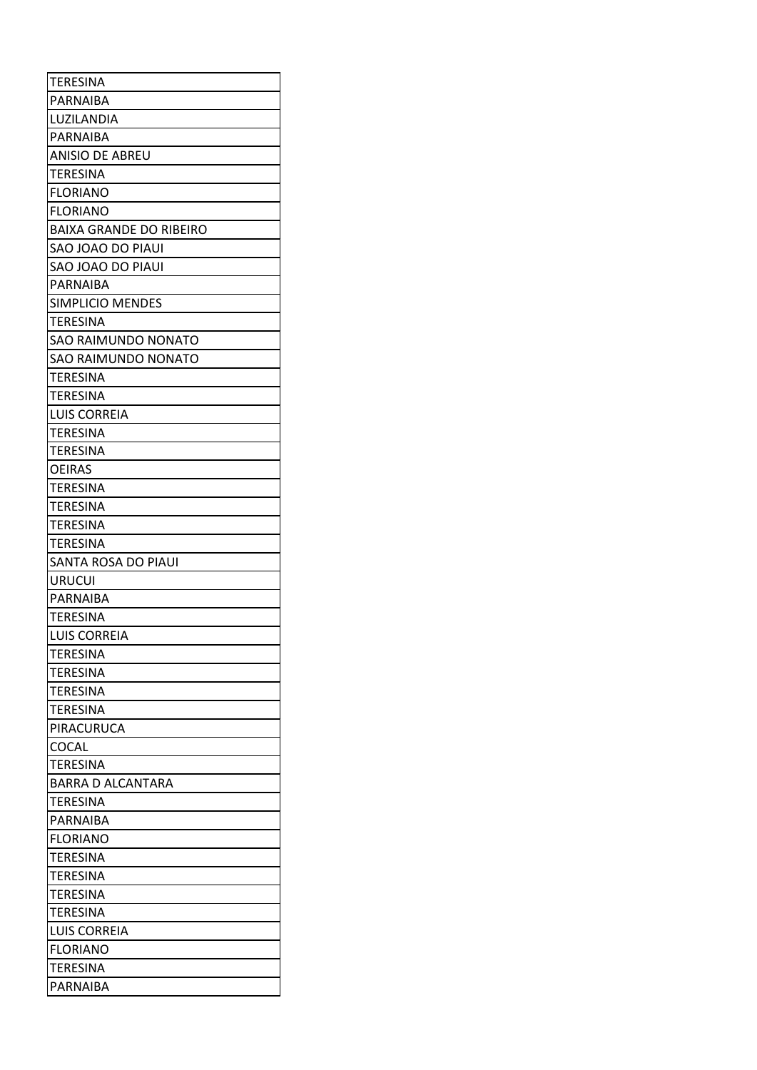| <b>TERESINA</b>                |
|--------------------------------|
| IPARNAIBA                      |
| LUZILANDIA                     |
| PARNAIBA                       |
| <b>ANISIO DE ABREU</b>         |
| <b>TERESINA</b>                |
| <b>FLORIANO</b>                |
| <b>FLORIANO</b>                |
| <b>BAIXA GRANDE DO RIBEIRO</b> |
| SAO JOAO DO PIAUI              |
| SAO JOAO DO PIAUI              |
| PARNAIBA                       |
| SIMPLICIO MENDES               |
| <b>TERESINA</b>                |
| SAO RAIMUNDO NONATO            |
| SAO RAIMUNDO NONATO            |
| <b>TERESINA</b>                |
| <b>TERESINA</b>                |
| LUIS CORREIA                   |
| <b>TERESINA</b>                |
| <b>TERESINA</b>                |
| <b>OEIRAS</b>                  |
| <b>TERESINA</b>                |
| <b>TERESINA</b>                |
| <b>TERESINA</b>                |
| <b>TERESINA</b>                |
| SANTA ROSA DO PIAUI            |
| <b>URUCUI</b>                  |
| <b>PARNAIBA</b>                |
| <b>TERESINA</b>                |
| <b>LUIS CORREIA</b>            |
| <b>TERESINA</b>                |
| <b>TERESINA</b>                |
| <b>TERESINA</b>                |
| <b>TERESINA</b>                |
| PIRACURUCA                     |
| <b>COCAL</b>                   |
| <b>TERESINA</b>                |
| <b>BARRA D ALCANTARA</b>       |
| <b>TERESINA</b>                |
| PARNAIBA                       |
| IFLORIANO                      |
| <b>TERESINA</b>                |
| <b>TERESINA</b>                |
| <b>TERESINA</b>                |
| <b>TERESINA</b>                |
| ILUIS CORREIA                  |
| IFLORIANO                      |
| <b>TERESINA</b>                |
| PARNAIBA                       |
|                                |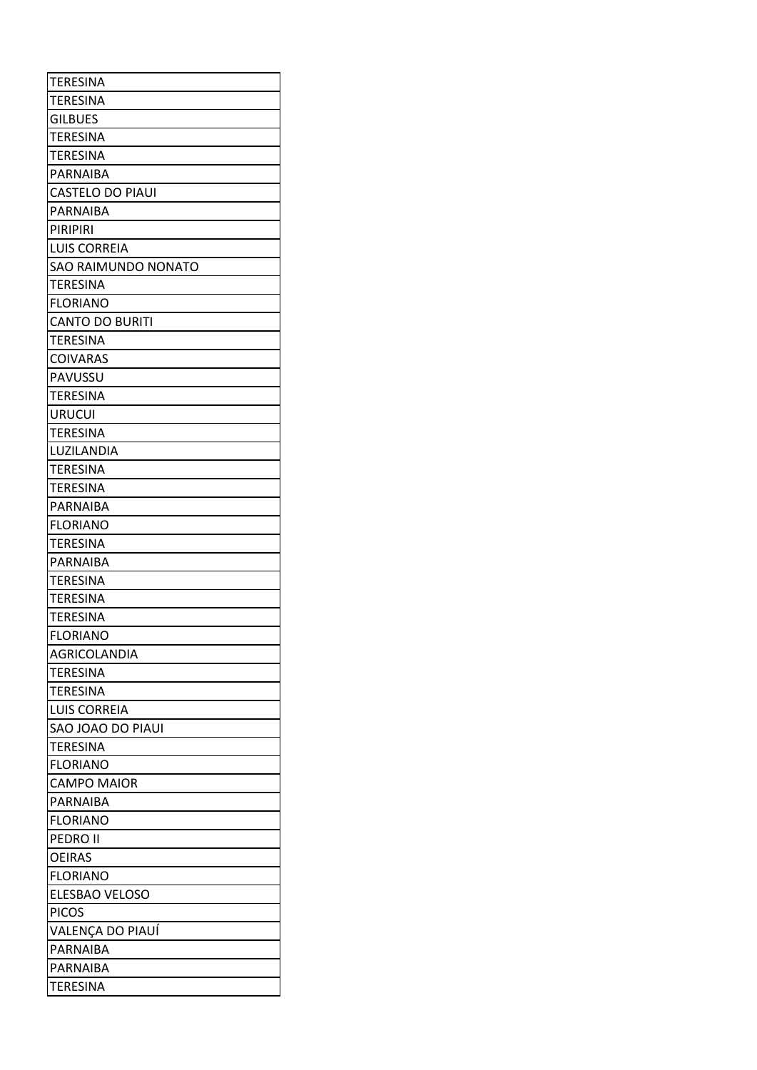| <b>TERESINA</b>         |
|-------------------------|
| <b>TERESINA</b>         |
| <b>GILBUES</b>          |
| <b>TERESINA</b>         |
| <b>TERESINA</b>         |
| PARNAIBA                |
| <b>CASTELO DO PIAUI</b> |
| PARNAIBA                |
| PIRIPIRI                |
| <b>LUIS CORREIA</b>     |
| SAO RAIMUNDO NONATO     |
| <b>TERESINA</b>         |
| <b>FLORIANO</b>         |
| <b>CANTO DO BURITI</b>  |
| <b>TERESINA</b>         |
| <b>COIVARAS</b>         |
| PAVUSSU                 |
| TERESINA                |
| <b>URUCUI</b>           |
| TERESINA                |
| LUZILANDIA              |
| <b>TERESINA</b>         |
| TERESINA                |
| PARNAIBA                |
| <b>FLORIANO</b>         |
| <b>TERESINA</b>         |
| PARNAIBA                |
| <b>TERESINA</b>         |
| <b>TERESINA</b>         |
| TERESINA                |
| <b>FLORIANO</b>         |
| AGRICOLANDIA            |
| <b>TERESINA</b>         |
| <b>TERESINA</b>         |
| <b>LUIS CORREIA</b>     |
| SAO JOAO DO PIAUI       |
| TERESINA                |
| <b>FLORIANO</b>         |
| <b>CAMPO MAIOR</b>      |
| PARNAIBA                |
| <b>FLORIANO</b>         |
| <b>PEDRO II</b>         |
| <b>OEIRAS</b>           |
| <b>FLORIANO</b>         |
| ELESBAO VELOSO          |
| <b>PICOS</b>            |
| VALENÇA DO PIAUÍ        |
| PARNAIBA                |
| PARNAIBA                |
| <b>TERESINA</b>         |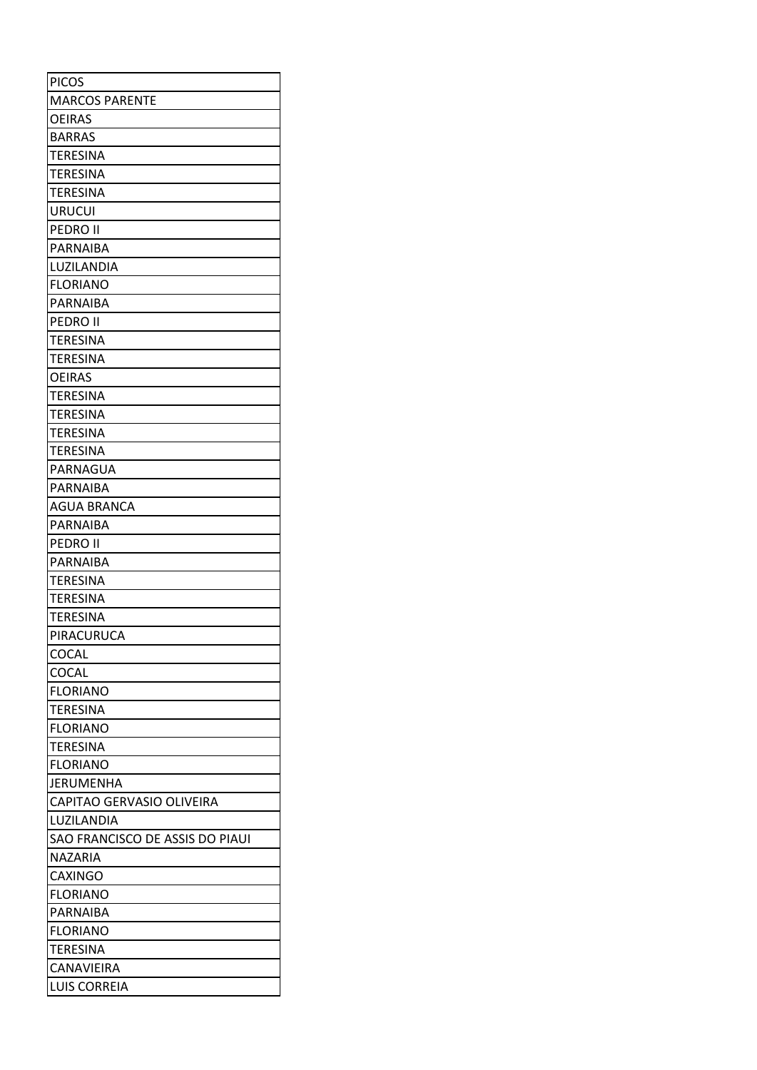| <b>PICOS</b>                    |
|---------------------------------|
| <b>MARCOS PARENTE</b>           |
| <b>OEIRAS</b>                   |
| <b>BARRAS</b>                   |
| <b>TERESINA</b>                 |
| <b>TERESINA</b>                 |
| <b>TERESINA</b>                 |
| <b>URUCUI</b>                   |
| PEDRO II                        |
| <b>PARNAIBA</b>                 |
| LUZILANDIA                      |
| <b>FLORIANO</b>                 |
| <b>PARNAIBA</b>                 |
| PEDRO II                        |
| <b>TERESINA</b>                 |
| TERESINA                        |
| <b>OEIRAS</b>                   |
| <b>TERESINA</b>                 |
| <b>TERESINA</b>                 |
| <b>TERESINA</b>                 |
| TERESINA                        |
| PARNAGUA                        |
| PARNAIBA                        |
| <b>AGUA BRANCA</b>              |
| PARNAIBA                        |
| IPEDRO II                       |
| PARNAIBA                        |
| <b>TERESINA</b>                 |
| <b>TERESINA</b>                 |
| <b>TERESINA</b>                 |
| PIRACURUCA                      |
| <b>COCAL</b>                    |
| <b>COCAL</b>                    |
| <b>FLORIANO</b>                 |
| TERESINA                        |
| <b>FLORIANO</b>                 |
| TERESINA                        |
| <b>FLORIANO</b>                 |
| JERUMENHA                       |
| CAPITAO GERVASIO OLIVEIRA       |
| LUZILANDIA                      |
| SAO FRANCISCO DE ASSIS DO PIAUI |
| <b>NAZARIA</b>                  |
| <b>CAXINGO</b>                  |
| <b>FLORIANO</b>                 |
| PARNAIBA                        |
| <b>FLORIANO</b>                 |
| <b>TERESINA</b>                 |
| <b>CANAVIEIRA</b>               |
| <b>LUIS CORREIA</b>             |
|                                 |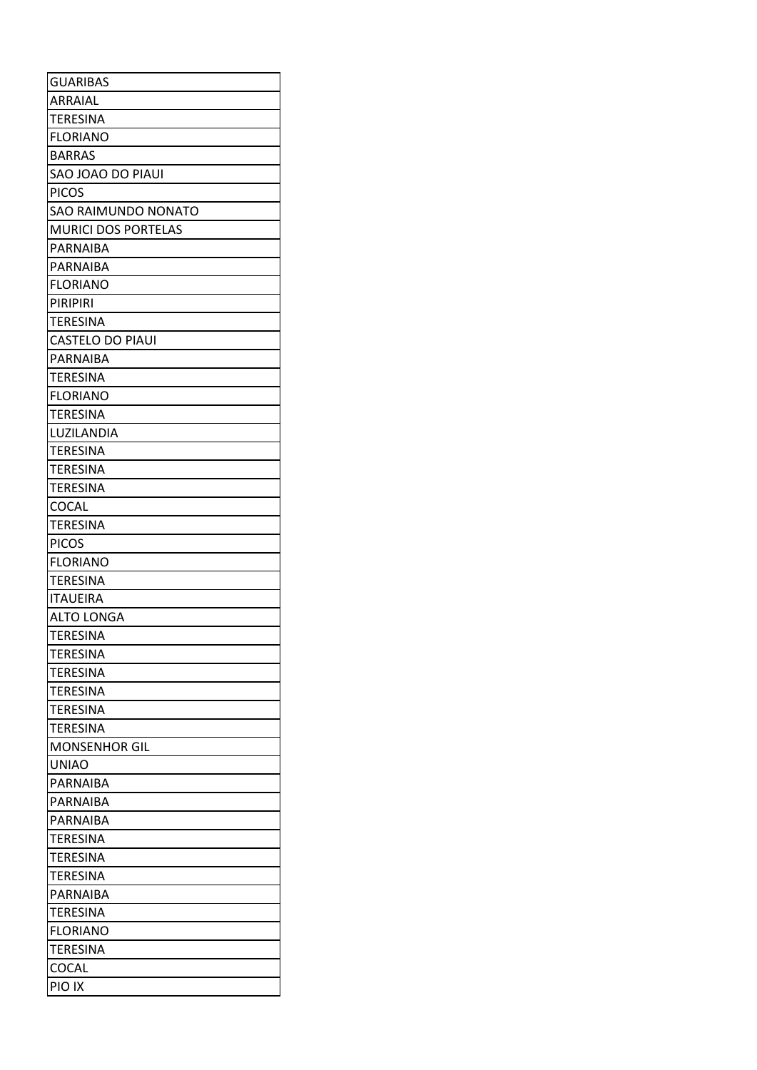| <b>GUARIBAS</b>            |
|----------------------------|
| ARRAIAL                    |
| <b>TERESINA</b>            |
| <b>FLORIANO</b>            |
| <b>BARRAS</b>              |
| SAO JOAO DO PIAUI          |
| <b>PICOS</b>               |
| <b>SAO RAIMUNDO NONATO</b> |
| <b>MURICI DOS PORTELAS</b> |
| PARNAIBA                   |
| PARNAIBA                   |
| <b>FLORIANO</b>            |
| PIRIPIRI                   |
| <b>TERESINA</b>            |
| <b>CASTELO DO PIAUI</b>    |
| PARNAIBA                   |
| <b>TERESINA</b>            |
| <b>FLORIANO</b>            |
| <b>TERESINA</b>            |
| LUZILANDIA                 |
| <b>TERESINA</b>            |
| <b>TERESINA</b>            |
| <b>TERESINA</b>            |
| <b>COCAL</b>               |
| <b>TERESINA</b>            |
| <b>PICOS</b>               |
| <b>FLORIANO</b>            |
| <b>TERESINA</b>            |
| <b>ITAUEIRA</b>            |
| <b>ALTO LONGA</b>          |
| <b>TERESINA</b>            |
| <b>TERESINA</b>            |
| <b>TERESINA</b>            |
| <b>TERESINA</b>            |
| <b>TERESINA</b>            |
| <b>TERESINA</b>            |
| <b>MONSENHOR GIL</b>       |
| <b>UNIAO</b>               |
| <b>PARNAIBA</b>            |
| PARNAIBA                   |
| PARNAIBA                   |
| TERESINA                   |
| <b>TERESINA</b>            |
| TERESINA                   |
| <b>PARNAIBA</b>            |
| <b>TERESINA</b>            |
| <b>FLORIANO</b>            |
| <b>TERESINA</b>            |
| COCAL                      |
| PIO IX                     |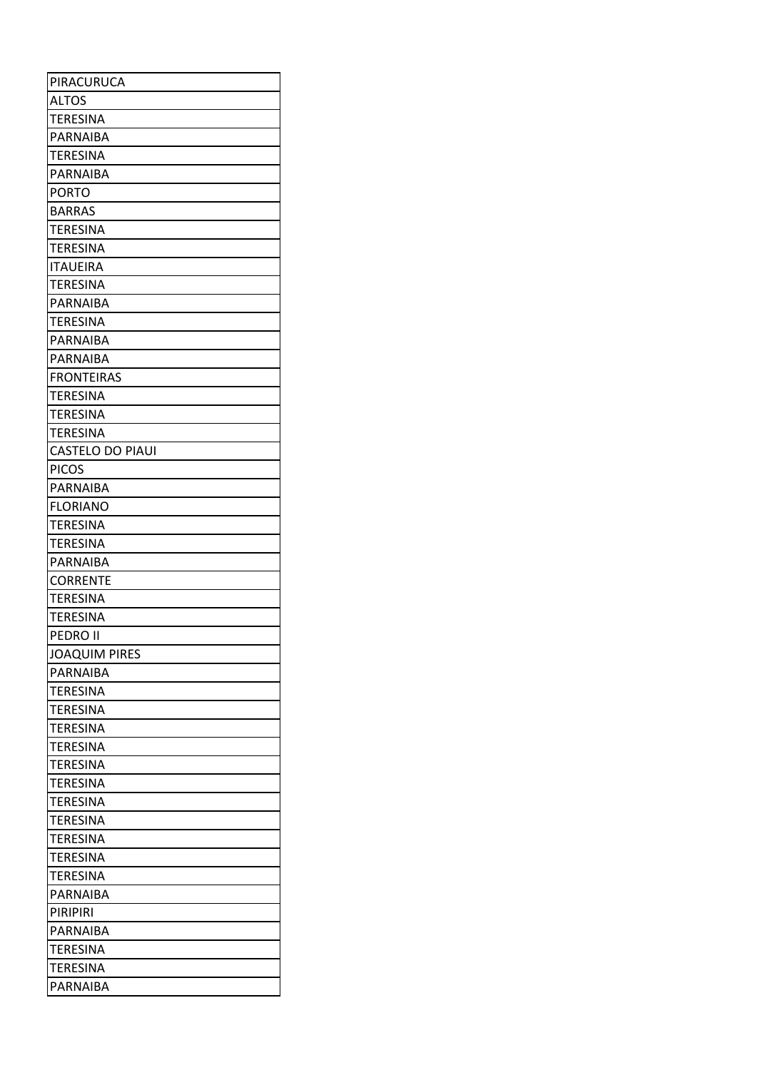| PIRACURUCA              |
|-------------------------|
| <b>ALTOS</b>            |
| <b>TERESINA</b>         |
| PARNAIBA                |
| <b>TERESINA</b>         |
| <b>PARNAIBA</b>         |
| <b>PORTO</b>            |
| <b>BARRAS</b>           |
| <b>TERESINA</b>         |
| <b>TERESINA</b>         |
| <b>ITAUEIRA</b>         |
| <b>TERESINA</b>         |
| PARNAIBA                |
| <b>TERESINA</b>         |
| PARNAIBA                |
| PARNAIBA                |
| <b>FRONTEIRAS</b>       |
| <b>TERESINA</b>         |
| <b>TERESINA</b>         |
| <b>TERESINA</b>         |
| <b>CASTELO DO PIAUI</b> |
| <b>PICOS</b>            |
| PARNAIBA                |
| <b>FLORIANO</b>         |
| <b>TERESINA</b>         |
| <b>TERESINA</b>         |
| PARNAIBA                |
| <b>CORRENTE</b>         |
| <b>TERESINA</b>         |
| <b>TERESINA</b>         |
| <b>PEDRO II</b>         |
| <b>JOAQUIM PIRES</b>    |
| PARNAIBA                |
| <b>TERESINA</b>         |
| <b>TERESINA</b>         |
| <b>TERESINA</b>         |
| <b>TERESINA</b>         |
| <b>TERESINA</b>         |
| <b>TERESINA</b>         |
| <b>TERESINA</b>         |
| <b>TERESINA</b>         |
| <b>TERESINA</b>         |
| <b>TERESINA</b>         |
| <b>TERESINA</b>         |
| PARNAIBA                |
| <b>PIRIPIRI</b>         |
| IPARNAIBA               |
| <b>TERESINA</b>         |
| <b>TERESINA</b>         |
| PARNAIBA                |